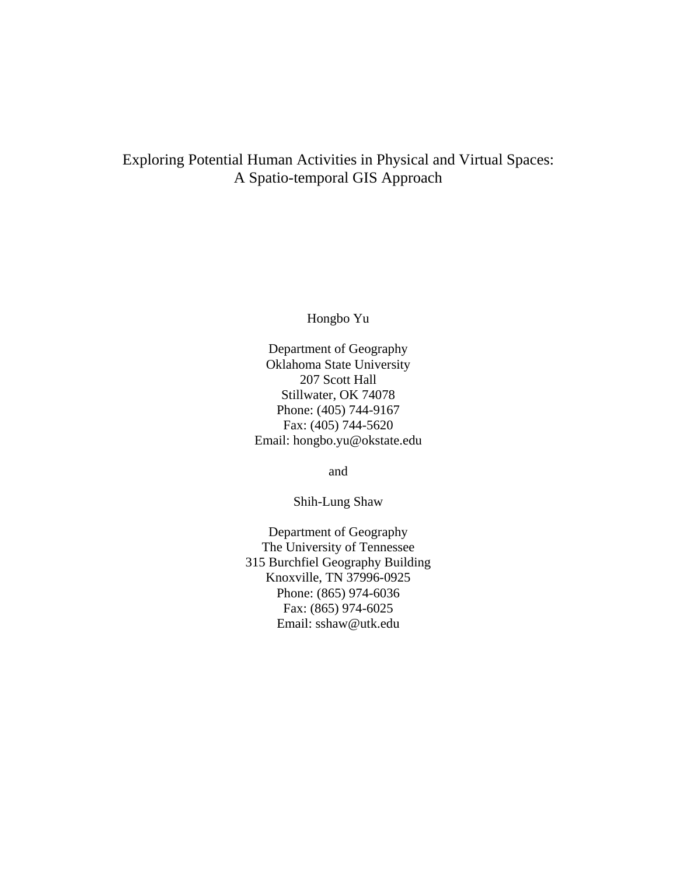## Exploring Potential Human Activities in Physical and Virtual Spaces: A Spatio-temporal GIS Approach

Hongbo Yu

Department of Geography Oklahoma State University 207 Scott Hall Stillwater, OK 74078 Phone: (405) 744-9167 Fax: (405) 744-5620 Email: hongbo.yu@okstate.edu

and

Shih-Lung Shaw

Department of Geography The University of Tennessee 315 Burchfiel Geography Building Knoxville, TN 37996-0925 Phone: (865) 974-6036 Fax: (865) 974-6025 Email: sshaw@utk.edu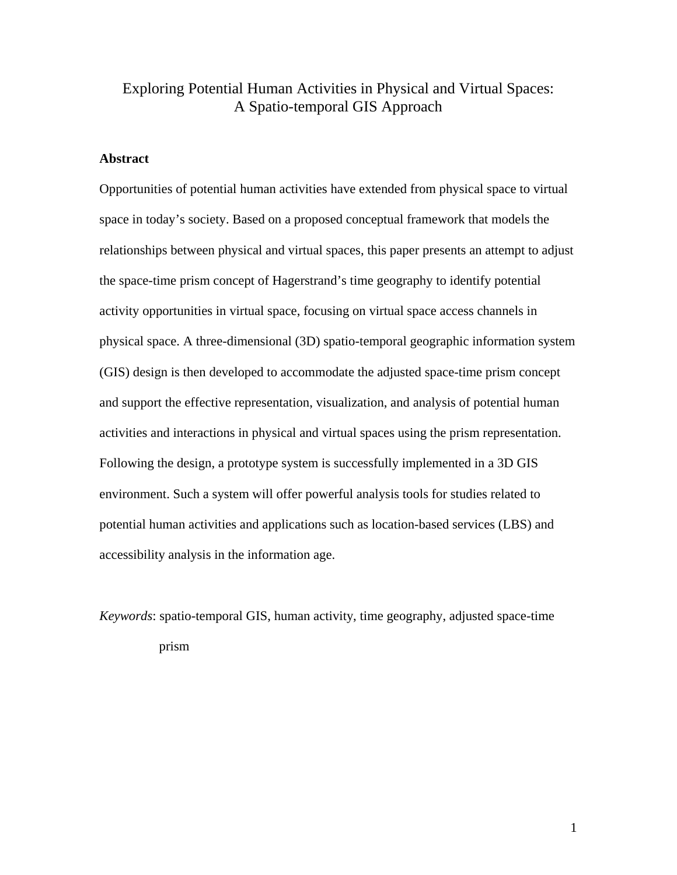## Exploring Potential Human Activities in Physical and Virtual Spaces: A Spatio-temporal GIS Approach

### **Abstract**

Opportunities of potential human activities have extended from physical space to virtual space in today's society. Based on a proposed conceptual framework that models the relationships between physical and virtual spaces, this paper presents an attempt to adjust the space-time prism concept of Hagerstrand's time geography to identify potential activity opportunities in virtual space, focusing on virtual space access channels in physical space. A three-dimensional (3D) spatio-temporal geographic information system (GIS) design is then developed to accommodate the adjusted space-time prism concept and support the effective representation, visualization, and analysis of potential human activities and interactions in physical and virtual spaces using the prism representation. Following the design, a prototype system is successfully implemented in a 3D GIS environment. Such a system will offer powerful analysis tools for studies related to potential human activities and applications such as location-based services (LBS) and accessibility analysis in the information age.

*Keywords*: spatio-temporal GIS, human activity, time geography, adjusted space-time prism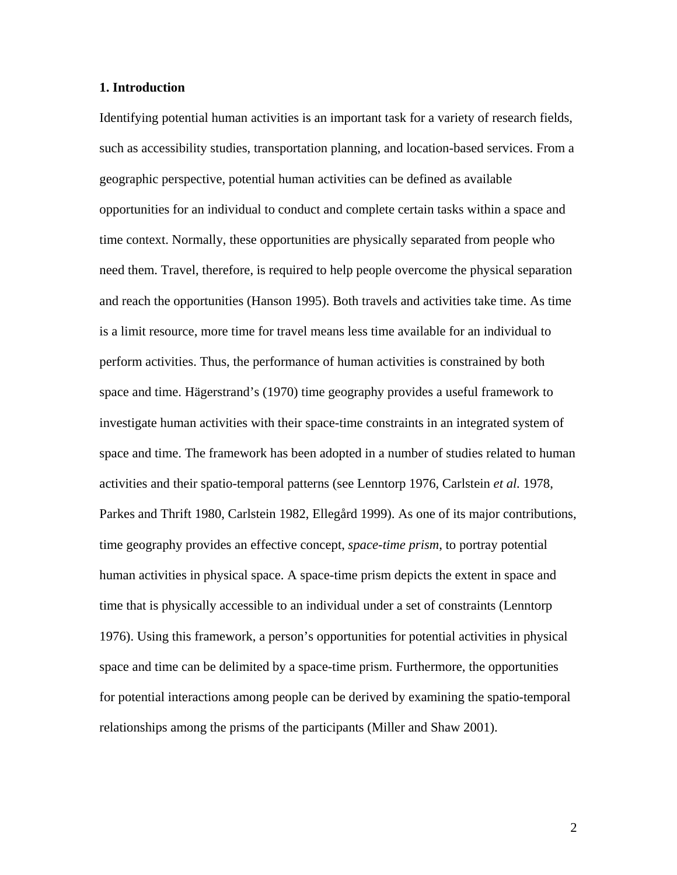### **1. Introduction**

Identifying potential human activities is an important task for a variety of research fields, such as accessibility studies, transportation planning, and location-based services. From a geographic perspective, potential human activities can be defined as available opportunities for an individual to conduct and complete certain tasks within a space and time context. Normally, these opportunities are physically separated from people who need them. Travel, therefore, is required to help people overcome the physical separation and reach the opportunities (Hanson 1995). Both travels and activities take time. As time is a limit resource, more time for travel means less time available for an individual to perform activities. Thus, the performance of human activities is constrained by both space and time. Hägerstrand's (1970) time geography provides a useful framework to investigate human activities with their space-time constraints in an integrated system of space and time. The framework has been adopted in a number of studies related to human activities and their spatio-temporal patterns (see Lenntorp 1976, Carlstein *et al.* 1978, Parkes and Thrift 1980, Carlstein 1982, Ellegård 1999). As one of its major contributions, time geography provides an effective concept, *space-time prism*, to portray potential human activities in physical space. A space-time prism depicts the extent in space and time that is physically accessible to an individual under a set of constraints (Lenntorp 1976). Using this framework, a person's opportunities for potential activities in physical space and time can be delimited by a space-time prism. Furthermore, the opportunities for potential interactions among people can be derived by examining the spatio-temporal relationships among the prisms of the participants (Miller and Shaw 2001).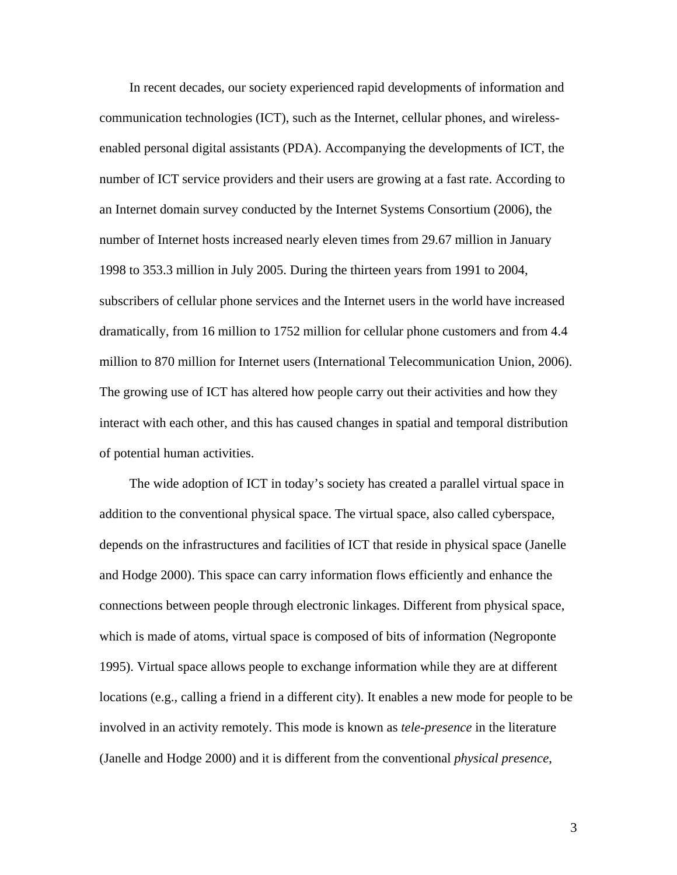In recent decades, our society experienced rapid developments of information and communication technologies (ICT), such as the Internet, cellular phones, and wirelessenabled personal digital assistants (PDA). Accompanying the developments of ICT, the number of ICT service providers and their users are growing at a fast rate. According to an Internet domain survey conducted by the Internet Systems Consortium (2006), the number of Internet hosts increased nearly eleven times from 29.67 million in January 1998 to 353.3 million in July 2005. During the thirteen years from 1991 to 2004, subscribers of cellular phone services and the Internet users in the world have increased dramatically, from 16 million to 1752 million for cellular phone customers and from 4.4 million to 870 million for Internet users (International Telecommunication Union, 2006). The growing use of ICT has altered how people carry out their activities and how they interact with each other, and this has caused changes in spatial and temporal distribution of potential human activities.

The wide adoption of ICT in today's society has created a parallel virtual space in addition to the conventional physical space. The virtual space, also called cyberspace, depends on the infrastructures and facilities of ICT that reside in physical space (Janelle and Hodge 2000). This space can carry information flows efficiently and enhance the connections between people through electronic linkages. Different from physical space, which is made of atoms, virtual space is composed of bits of information (Negroponte 1995). Virtual space allows people to exchange information while they are at different locations (e.g., calling a friend in a different city). It enables a new mode for people to be involved in an activity remotely. This mode is known as *tele-presence* in the literature (Janelle and Hodge 2000) and it is different from the conventional *physical presence*,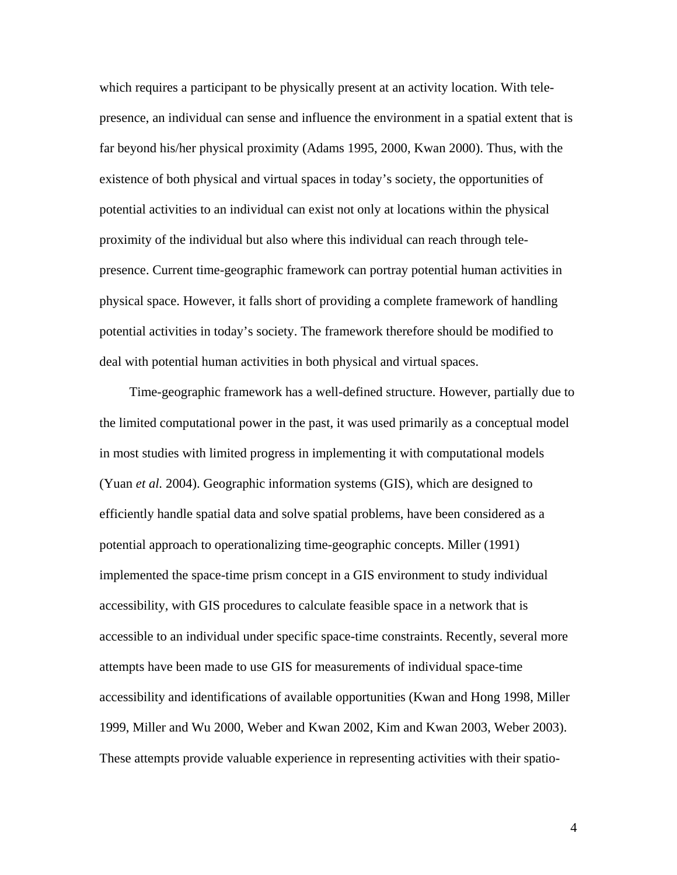which requires a participant to be physically present at an activity location. With telepresence, an individual can sense and influence the environment in a spatial extent that is far beyond his/her physical proximity (Adams 1995, 2000, Kwan 2000). Thus, with the existence of both physical and virtual spaces in today's society, the opportunities of potential activities to an individual can exist not only at locations within the physical proximity of the individual but also where this individual can reach through telepresence. Current time-geographic framework can portray potential human activities in physical space. However, it falls short of providing a complete framework of handling potential activities in today's society. The framework therefore should be modified to deal with potential human activities in both physical and virtual spaces.

Time-geographic framework has a well-defined structure. However, partially due to the limited computational power in the past, it was used primarily as a conceptual model in most studies with limited progress in implementing it with computational models (Yuan *et al.* 2004). Geographic information systems (GIS), which are designed to efficiently handle spatial data and solve spatial problems, have been considered as a potential approach to operationalizing time-geographic concepts. Miller (1991) implemented the space-time prism concept in a GIS environment to study individual accessibility, with GIS procedures to calculate feasible space in a network that is accessible to an individual under specific space-time constraints. Recently, several more attempts have been made to use GIS for measurements of individual space-time accessibility and identifications of available opportunities (Kwan and Hong 1998, Miller 1999, Miller and Wu 2000, Weber and Kwan 2002, Kim and Kwan 2003, Weber 2003). These attempts provide valuable experience in representing activities with their spatio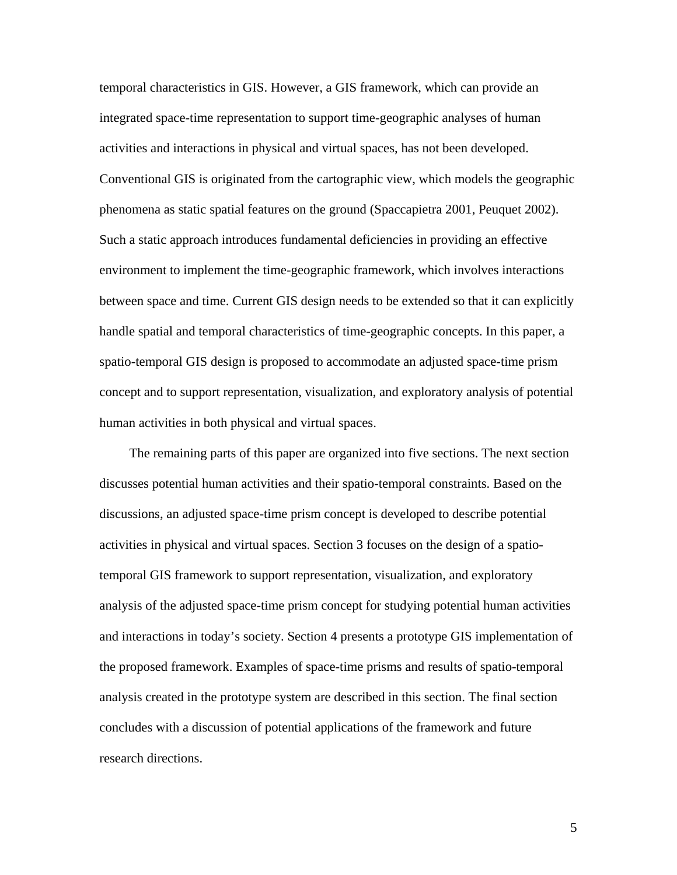temporal characteristics in GIS. However, a GIS framework, which can provide an integrated space-time representation to support time-geographic analyses of human activities and interactions in physical and virtual spaces, has not been developed. Conventional GIS is originated from the cartographic view, which models the geographic phenomena as static spatial features on the ground (Spaccapietra 2001, Peuquet 2002). Such a static approach introduces fundamental deficiencies in providing an effective environment to implement the time-geographic framework, which involves interactions between space and time. Current GIS design needs to be extended so that it can explicitly handle spatial and temporal characteristics of time-geographic concepts. In this paper, a spatio-temporal GIS design is proposed to accommodate an adjusted space-time prism concept and to support representation, visualization, and exploratory analysis of potential human activities in both physical and virtual spaces.

The remaining parts of this paper are organized into five sections. The next section discusses potential human activities and their spatio-temporal constraints. Based on the discussions, an adjusted space-time prism concept is developed to describe potential activities in physical and virtual spaces. Section 3 focuses on the design of a spatiotemporal GIS framework to support representation, visualization, and exploratory analysis of the adjusted space-time prism concept for studying potential human activities and interactions in today's society. Section 4 presents a prototype GIS implementation of the proposed framework. Examples of space-time prisms and results of spatio-temporal analysis created in the prototype system are described in this section. The final section concludes with a discussion of potential applications of the framework and future research directions.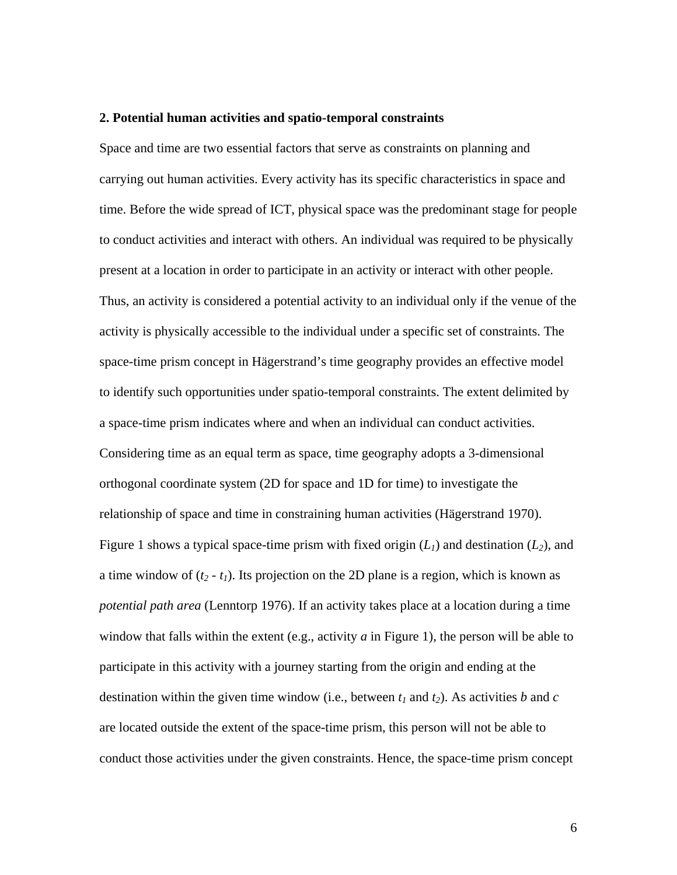#### **2. Potential human activities and spatio-temporal constraints**

Space and time are two essential factors that serve as constraints on planning and carrying out human activities. Every activity has its specific characteristics in space and time. Before the wide spread of ICT, physical space was the predominant stage for people to conduct activities and interact with others. An individual was required to be physically present at a location in order to participate in an activity or interact with other people. Thus, an activity is considered a potential activity to an individual only if the venue of the activity is physically accessible to the individual under a specific set of constraints. The space-time prism concept in Hägerstrand's time geography provides an effective model to identify such opportunities under spatio-temporal constraints. The extent delimited by a space-time prism indicates where and when an individual can conduct activities. Considering time as an equal term as space, time geography adopts a 3-dimensional orthogonal coordinate system (2D for space and 1D for time) to investigate the relationship of space and time in constraining human activities (Hägerstrand 1970). Figure 1 shows a typical space-time prism with fixed origin  $(L_1)$  and destination  $(L_2)$ , and a time window of  $(t_2 - t_1)$ . Its projection on the 2D plane is a region, which is known as *potential path area* (Lenntorp 1976). If an activity takes place at a location during a time window that falls within the extent (e.g., activity *a* in Figure 1), the person will be able to participate in this activity with a journey starting from the origin and ending at the destination within the given time window (i.e., between  $t_1$  and  $t_2$ ). As activities *b* and *c* are located outside the extent of the space-time prism, this person will not be able to conduct those activities under the given constraints. Hence, the space-time prism concept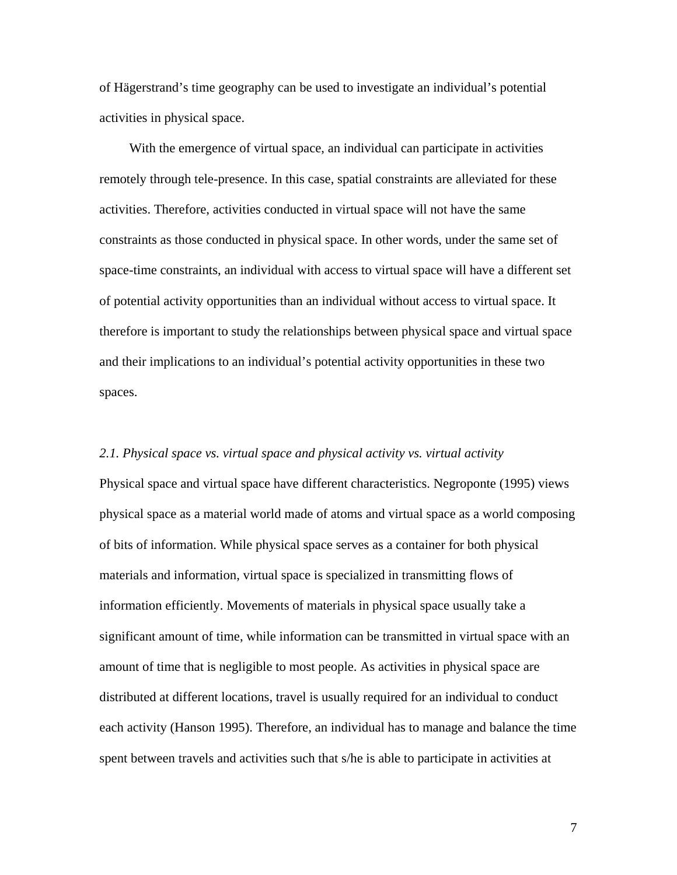of Hägerstrand's time geography can be used to investigate an individual's potential activities in physical space.

With the emergence of virtual space, an individual can participate in activities remotely through tele-presence. In this case, spatial constraints are alleviated for these activities. Therefore, activities conducted in virtual space will not have the same constraints as those conducted in physical space. In other words, under the same set of space-time constraints, an individual with access to virtual space will have a different set of potential activity opportunities than an individual without access to virtual space. It therefore is important to study the relationships between physical space and virtual space and their implications to an individual's potential activity opportunities in these two spaces.

### *2.1. Physical space vs. virtual space and physical activity vs. virtual activity*

Physical space and virtual space have different characteristics. Negroponte (1995) views physical space as a material world made of atoms and virtual space as a world composing of bits of information. While physical space serves as a container for both physical materials and information, virtual space is specialized in transmitting flows of information efficiently. Movements of materials in physical space usually take a significant amount of time, while information can be transmitted in virtual space with an amount of time that is negligible to most people. As activities in physical space are distributed at different locations, travel is usually required for an individual to conduct each activity (Hanson 1995). Therefore, an individual has to manage and balance the time spent between travels and activities such that s/he is able to participate in activities at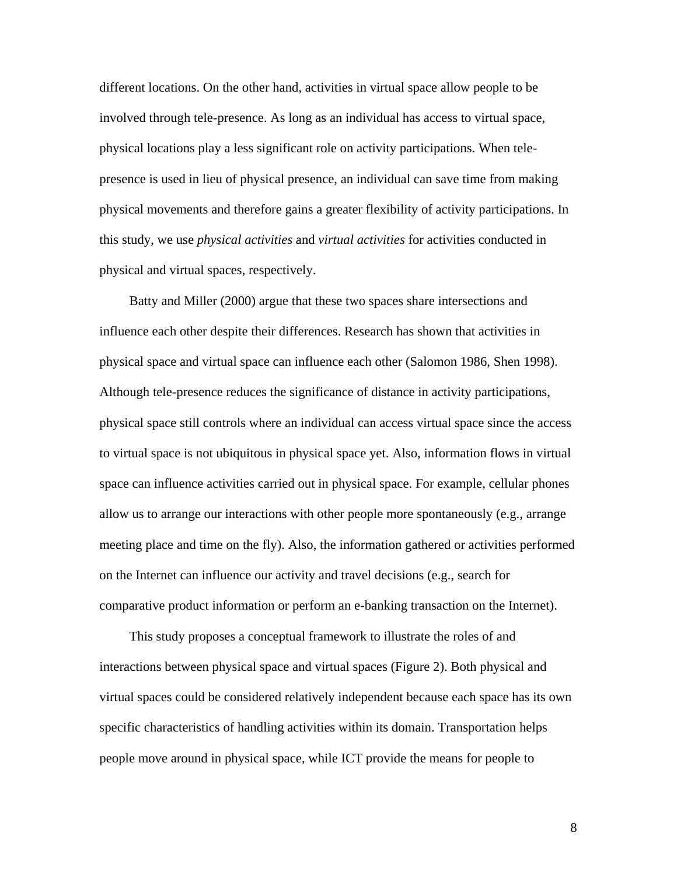different locations. On the other hand, activities in virtual space allow people to be involved through tele-presence. As long as an individual has access to virtual space, physical locations play a less significant role on activity participations. When telepresence is used in lieu of physical presence, an individual can save time from making physical movements and therefore gains a greater flexibility of activity participations. In this study, we use *physical activities* and *virtual activities* for activities conducted in physical and virtual spaces, respectively.

Batty and Miller (2000) argue that these two spaces share intersections and influence each other despite their differences. Research has shown that activities in physical space and virtual space can influence each other (Salomon 1986, Shen 1998). Although tele-presence reduces the significance of distance in activity participations, physical space still controls where an individual can access virtual space since the access to virtual space is not ubiquitous in physical space yet. Also, information flows in virtual space can influence activities carried out in physical space. For example, cellular phones allow us to arrange our interactions with other people more spontaneously (e.g., arrange meeting place and time on the fly). Also, the information gathered or activities performed on the Internet can influence our activity and travel decisions (e.g., search for comparative product information or perform an e-banking transaction on the Internet).

This study proposes a conceptual framework to illustrate the roles of and interactions between physical space and virtual spaces (Figure 2). Both physical and virtual spaces could be considered relatively independent because each space has its own specific characteristics of handling activities within its domain. Transportation helps people move around in physical space, while ICT provide the means for people to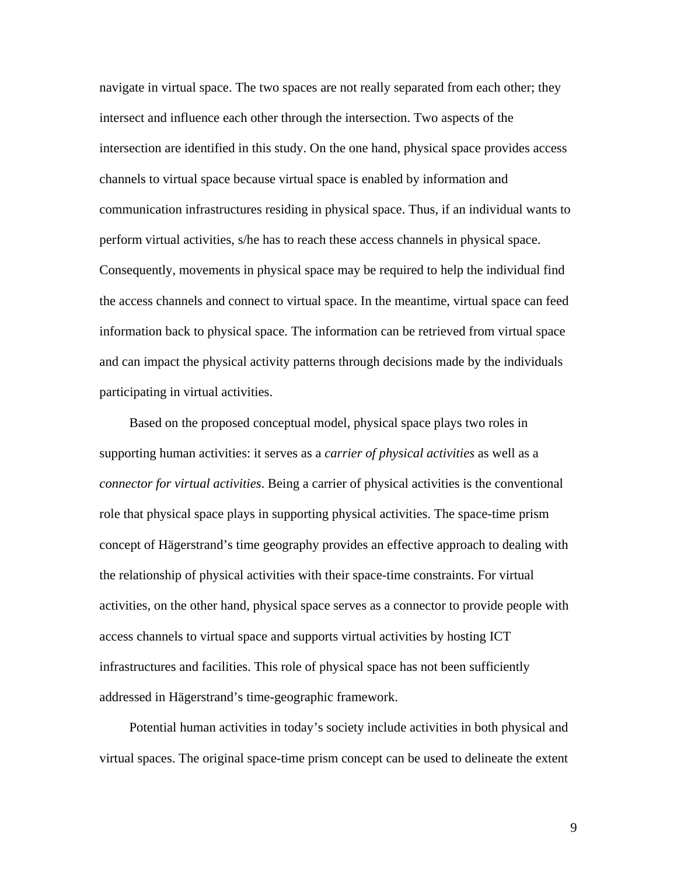navigate in virtual space. The two spaces are not really separated from each other; they intersect and influence each other through the intersection. Two aspects of the intersection are identified in this study. On the one hand, physical space provides access channels to virtual space because virtual space is enabled by information and communication infrastructures residing in physical space. Thus, if an individual wants to perform virtual activities, s/he has to reach these access channels in physical space. Consequently, movements in physical space may be required to help the individual find the access channels and connect to virtual space. In the meantime, virtual space can feed information back to physical space. The information can be retrieved from virtual space and can impact the physical activity patterns through decisions made by the individuals participating in virtual activities.

Based on the proposed conceptual model, physical space plays two roles in supporting human activities: it serves as a *carrier of physical activities* as well as a *connector for virtual activities*. Being a carrier of physical activities is the conventional role that physical space plays in supporting physical activities. The space-time prism concept of Hägerstrand's time geography provides an effective approach to dealing with the relationship of physical activities with their space-time constraints. For virtual activities, on the other hand, physical space serves as a connector to provide people with access channels to virtual space and supports virtual activities by hosting ICT infrastructures and facilities. This role of physical space has not been sufficiently addressed in Hägerstrand's time-geographic framework.

Potential human activities in today's society include activities in both physical and virtual spaces. The original space-time prism concept can be used to delineate the extent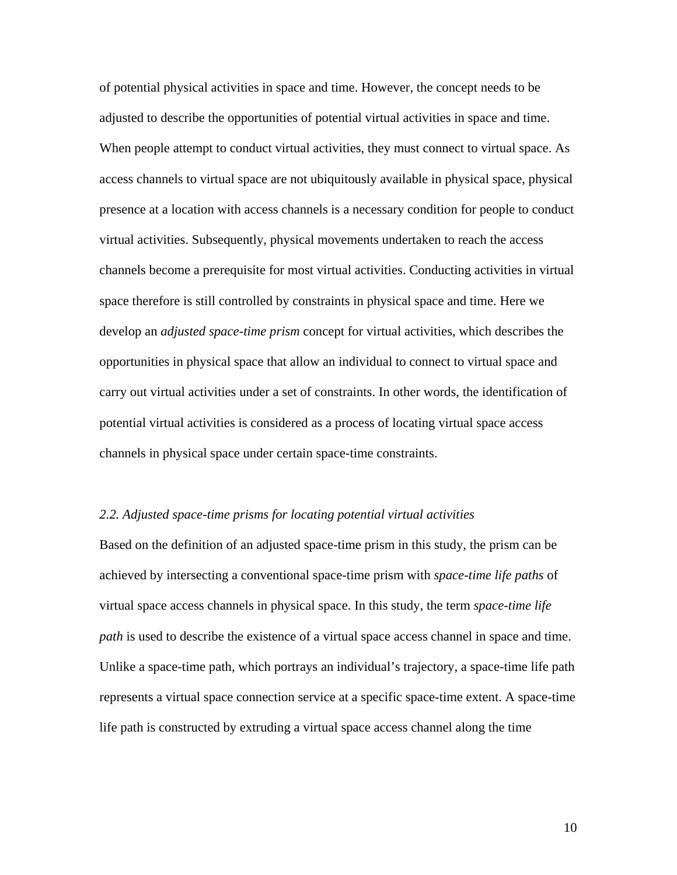of potential physical activities in space and time. However, the concept needs to be adjusted to describe the opportunities of potential virtual activities in space and time. When people attempt to conduct virtual activities, they must connect to virtual space. As access channels to virtual space are not ubiquitously available in physical space, physical presence at a location with access channels is a necessary condition for people to conduct virtual activities. Subsequently, physical movements undertaken to reach the access channels become a prerequisite for most virtual activities. Conducting activities in virtual space therefore is still controlled by constraints in physical space and time. Here we develop an *adjusted space-time prism* concept for virtual activities, which describes the opportunities in physical space that allow an individual to connect to virtual space and carry out virtual activities under a set of constraints. In other words, the identification of potential virtual activities is considered as a process of locating virtual space access channels in physical space under certain space-time constraints.

### *2.2. Adjusted space-time prisms for locating potential virtual activities*

Based on the definition of an adjusted space-time prism in this study, the prism can be achieved by intersecting a conventional space-time prism with *space-time life paths* of virtual space access channels in physical space. In this study, the term *space-time life path* is used to describe the existence of a virtual space access channel in space and time. Unlike a space-time path, which portrays an individual's trajectory, a space-time life path represents a virtual space connection service at a specific space-time extent. A space-time life path is constructed by extruding a virtual space access channel along the time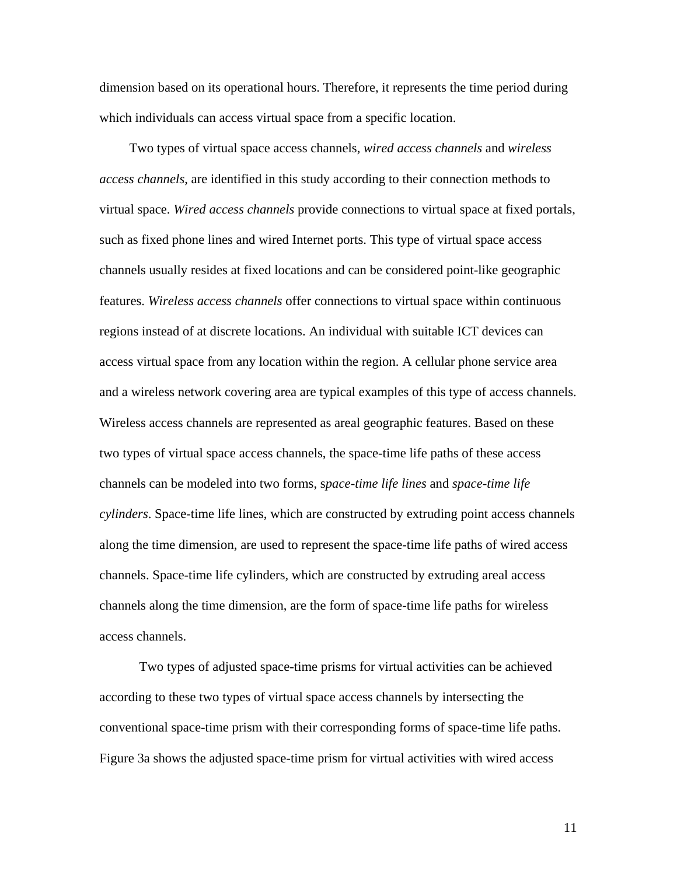dimension based on its operational hours. Therefore, it represents the time period during which individuals can access virtual space from a specific location.

Two types of virtual space access channels, *wired access channels* and *wireless access channels*, are identified in this study according to their connection methods to virtual space. *Wired access channels* provide connections to virtual space at fixed portals, such as fixed phone lines and wired Internet ports. This type of virtual space access channels usually resides at fixed locations and can be considered point-like geographic features. *Wireless access channels* offer connections to virtual space within continuous regions instead of at discrete locations. An individual with suitable ICT devices can access virtual space from any location within the region. A cellular phone service area and a wireless network covering area are typical examples of this type of access channels. Wireless access channels are represented as areal geographic features. Based on these two types of virtual space access channels, the space-time life paths of these access channels can be modeled into two forms, s*pace-time life lines* and *space-time life cylinders*. Space-time life lines, which are constructed by extruding point access channels along the time dimension, are used to represent the space-time life paths of wired access channels. Space-time life cylinders, which are constructed by extruding areal access channels along the time dimension, are the form of space-time life paths for wireless access channels.

Two types of adjusted space-time prisms for virtual activities can be achieved according to these two types of virtual space access channels by intersecting the conventional space-time prism with their corresponding forms of space-time life paths. Figure 3a shows the adjusted space-time prism for virtual activities with wired access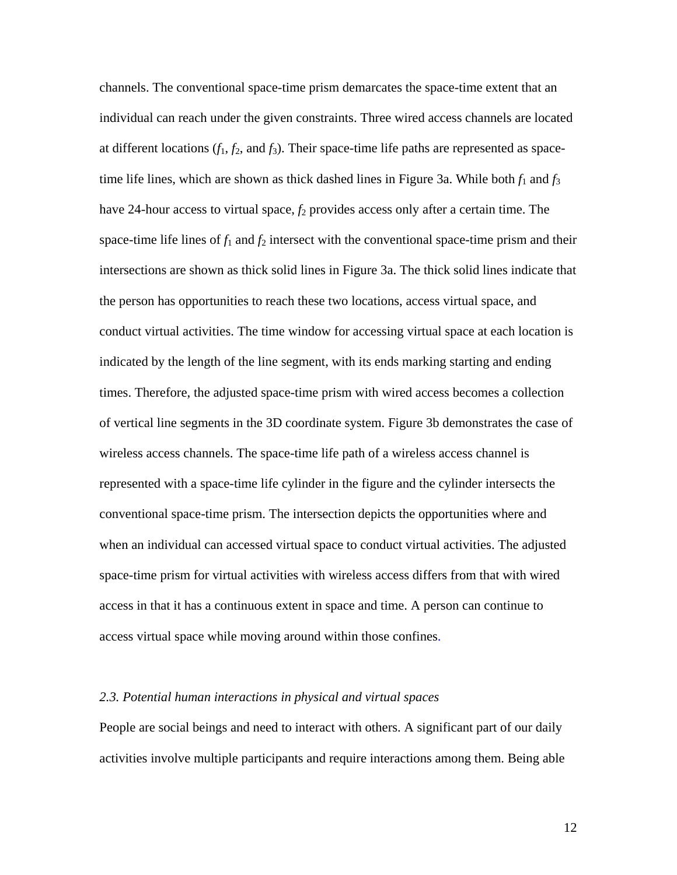channels. The conventional space-time prism demarcates the space-time extent that an individual can reach under the given constraints. Three wired access channels are located at different locations  $(f_1, f_2, \text{ and } f_3)$ . Their space-time life paths are represented as spacetime life lines, which are shown as thick dashed lines in Figure 3a. While both  $f_1$  and  $f_3$ have 24-hour access to virtual space,  $f_2$  provides access only after a certain time. The space-time life lines of  $f_1$  and  $f_2$  intersect with the conventional space-time prism and their intersections are shown as thick solid lines in Figure 3a. The thick solid lines indicate that the person has opportunities to reach these two locations, access virtual space, and conduct virtual activities. The time window for accessing virtual space at each location is indicated by the length of the line segment, with its ends marking starting and ending times. Therefore, the adjusted space-time prism with wired access becomes a collection of vertical line segments in the 3D coordinate system. Figure 3b demonstrates the case of wireless access channels. The space-time life path of a wireless access channel is represented with a space-time life cylinder in the figure and the cylinder intersects the conventional space-time prism. The intersection depicts the opportunities where and when an individual can accessed virtual space to conduct virtual activities. The adjusted space-time prism for virtual activities with wireless access differs from that with wired access in that it has a continuous extent in space and time. A person can continue to access virtual space while moving around within those confines.

### *2.3. Potential human interactions in physical and virtual spaces*

People are social beings and need to interact with others. A significant part of our daily activities involve multiple participants and require interactions among them. Being able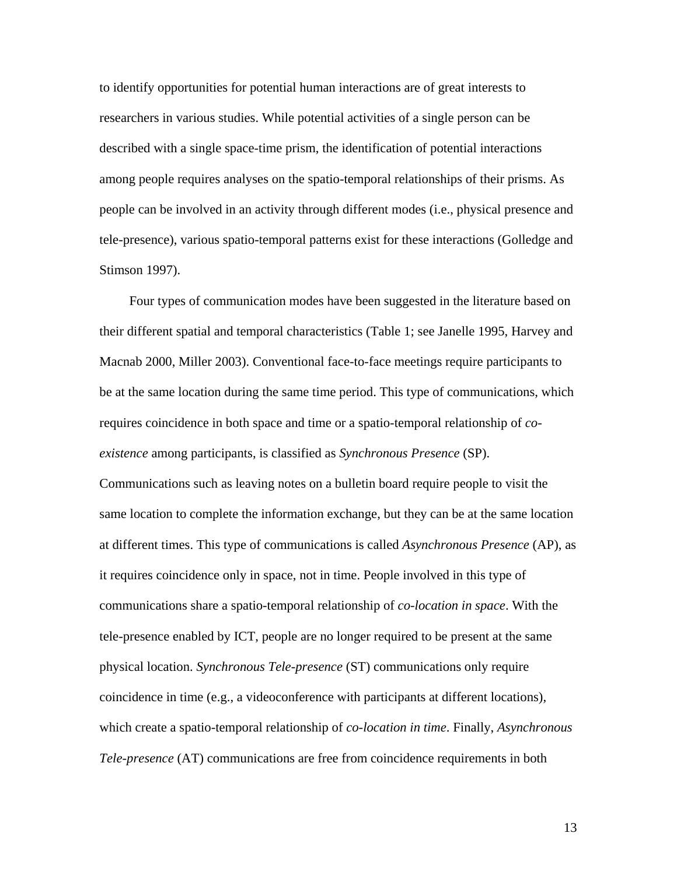to identify opportunities for potential human interactions are of great interests to researchers in various studies. While potential activities of a single person can be described with a single space-time prism, the identification of potential interactions among people requires analyses on the spatio-temporal relationships of their prisms. As people can be involved in an activity through different modes (i.e., physical presence and tele-presence), various spatio-temporal patterns exist for these interactions (Golledge and Stimson 1997).

Four types of communication modes have been suggested in the literature based on their different spatial and temporal characteristics (Table 1; see Janelle 1995, Harvey and Macnab 2000, Miller 2003). Conventional face-to-face meetings require participants to be at the same location during the same time period. This type of communications, which requires coincidence in both space and time or a spatio-temporal relationship of *coexistence* among participants, is classified as *Synchronous Presence* (SP). Communications such as leaving notes on a bulletin board require people to visit the same location to complete the information exchange, but they can be at the same location at different times. This type of communications is called *Asynchronous Presence* (AP), as it requires coincidence only in space, not in time. People involved in this type of communications share a spatio-temporal relationship of *co-location in space*. With the tele-presence enabled by ICT, people are no longer required to be present at the same physical location. *Synchronous Tele-presence* (ST) communications only require coincidence in time (e.g., a videoconference with participants at different locations), which create a spatio-temporal relationship of *co-location in time*. Finally, *Asynchronous Tele-presence* (AT) communications are free from coincidence requirements in both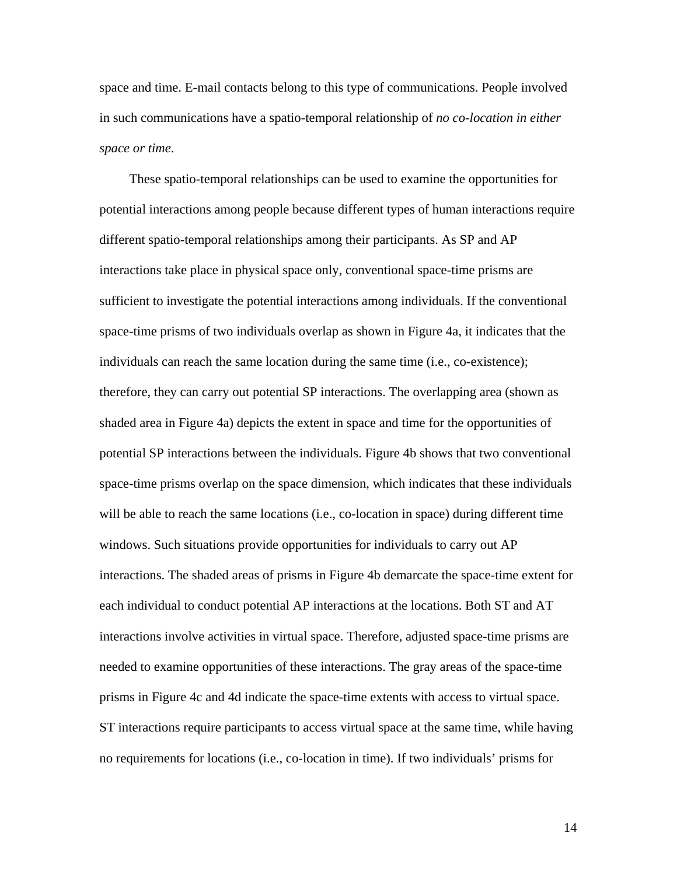space and time. E-mail contacts belong to this type of communications. People involved in such communications have a spatio-temporal relationship of *no co-location in either space or time*.

These spatio-temporal relationships can be used to examine the opportunities for potential interactions among people because different types of human interactions require different spatio-temporal relationships among their participants. As SP and AP interactions take place in physical space only, conventional space-time prisms are sufficient to investigate the potential interactions among individuals. If the conventional space-time prisms of two individuals overlap as shown in Figure 4a, it indicates that the individuals can reach the same location during the same time (i.e., co-existence); therefore, they can carry out potential SP interactions. The overlapping area (shown as shaded area in Figure 4a) depicts the extent in space and time for the opportunities of potential SP interactions between the individuals. Figure 4b shows that two conventional space-time prisms overlap on the space dimension, which indicates that these individuals will be able to reach the same locations (i.e., co-location in space) during different time windows. Such situations provide opportunities for individuals to carry out AP interactions. The shaded areas of prisms in Figure 4b demarcate the space-time extent for each individual to conduct potential AP interactions at the locations. Both ST and AT interactions involve activities in virtual space. Therefore, adjusted space-time prisms are needed to examine opportunities of these interactions. The gray areas of the space-time prisms in Figure 4c and 4d indicate the space-time extents with access to virtual space. ST interactions require participants to access virtual space at the same time, while having no requirements for locations (i.e., co-location in time). If two individuals' prisms for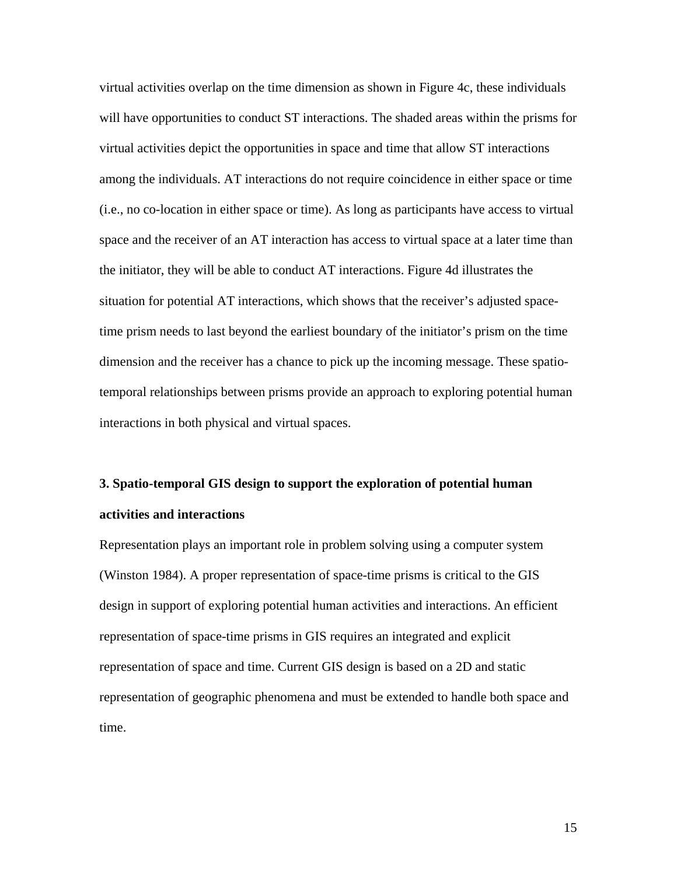virtual activities overlap on the time dimension as shown in Figure 4c, these individuals will have opportunities to conduct ST interactions. The shaded areas within the prisms for virtual activities depict the opportunities in space and time that allow ST interactions among the individuals. AT interactions do not require coincidence in either space or time (i.e., no co-location in either space or time). As long as participants have access to virtual space and the receiver of an AT interaction has access to virtual space at a later time than the initiator, they will be able to conduct AT interactions. Figure 4d illustrates the situation for potential AT interactions, which shows that the receiver's adjusted spacetime prism needs to last beyond the earliest boundary of the initiator's prism on the time dimension and the receiver has a chance to pick up the incoming message. These spatiotemporal relationships between prisms provide an approach to exploring potential human interactions in both physical and virtual spaces.

# **3. Spatio-temporal GIS design to support the exploration of potential human activities and interactions**

Representation plays an important role in problem solving using a computer system (Winston 1984). A proper representation of space-time prisms is critical to the GIS design in support of exploring potential human activities and interactions. An efficient representation of space-time prisms in GIS requires an integrated and explicit representation of space and time. Current GIS design is based on a 2D and static representation of geographic phenomena and must be extended to handle both space and time.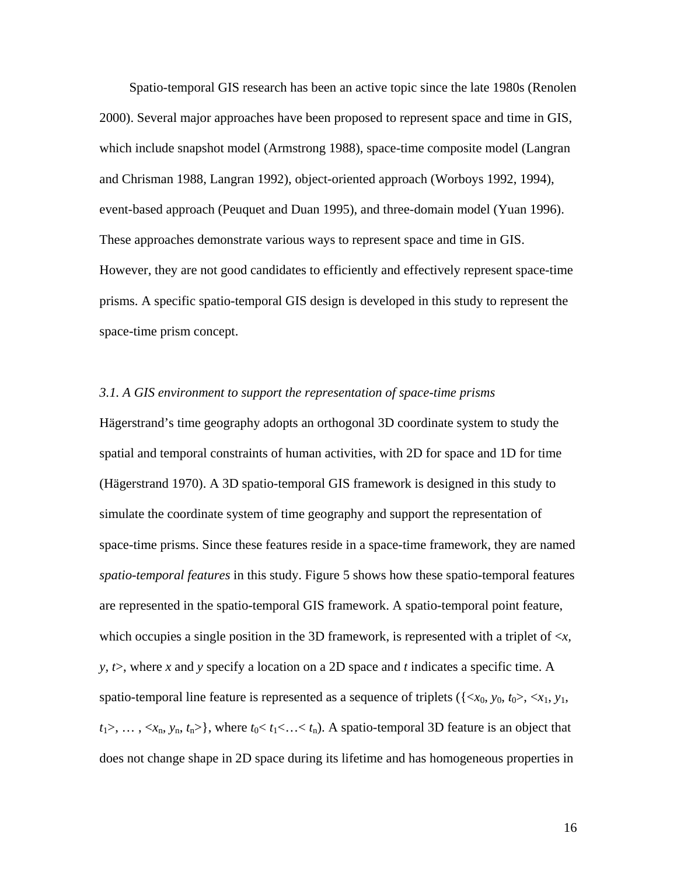Spatio-temporal GIS research has been an active topic since the late 1980s (Renolen 2000). Several major approaches have been proposed to represent space and time in GIS, which include snapshot model (Armstrong 1988), space-time composite model (Langran and Chrisman 1988, Langran 1992), object-oriented approach (Worboys 1992, 1994), event-based approach (Peuquet and Duan 1995), and three-domain model (Yuan 1996). These approaches demonstrate various ways to represent space and time in GIS. However, they are not good candidates to efficiently and effectively represent space-time prisms. A specific spatio-temporal GIS design is developed in this study to represent the space-time prism concept.

### *3.1. A GIS environment to support the representation of space-time prisms*

Hägerstrand's time geography adopts an orthogonal 3D coordinate system to study the spatial and temporal constraints of human activities, with 2D for space and 1D for time (Hägerstrand 1970). A 3D spatio-temporal GIS framework is designed in this study to simulate the coordinate system of time geography and support the representation of space-time prisms. Since these features reside in a space-time framework, they are named *spatio-temporal features* in this study. Figure 5 shows how these spatio-temporal features are represented in the spatio-temporal GIS framework. A spatio-temporal point feature, which occupies a single position in the 3D framework, is represented with a triplet of <*x, y, t*>, where *x* and *y* specify a location on a 2D space and *t* indicates a specific time. A spatio-temporal line feature is represented as a sequence of triplets ( $\{\langle x_0, y_0, t_0 \rangle, \langle x_1, y_1,$  $t_1$ >, …,  $\langle x_n, y_n, t_n \rangle$ , where  $t_0 \langle t_1 \langle \ldots \langle t_n \rangle$ . A spatio-temporal 3D feature is an object that does not change shape in 2D space during its lifetime and has homogeneous properties in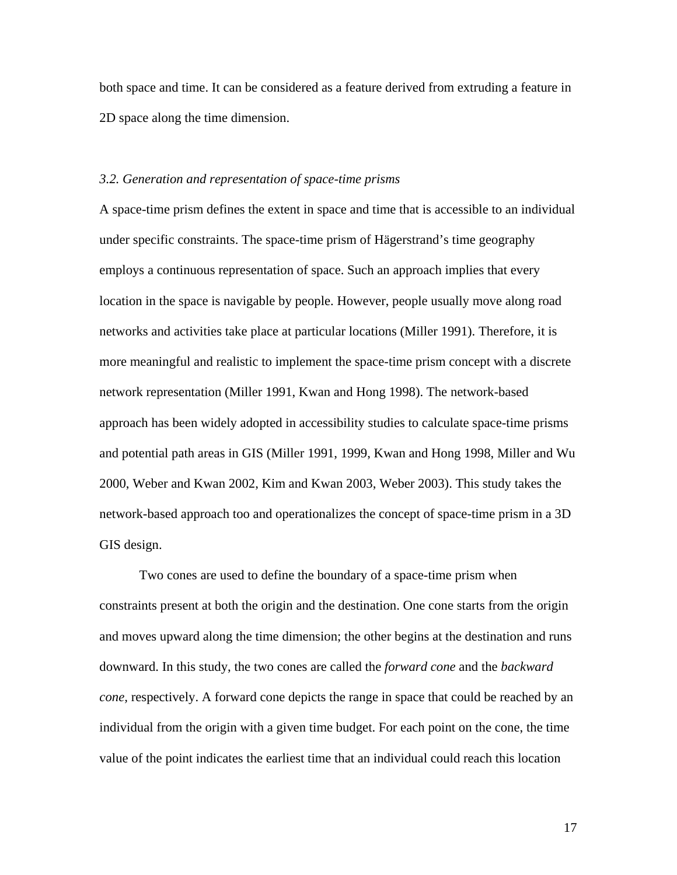both space and time. It can be considered as a feature derived from extruding a feature in 2D space along the time dimension.

### *3.2. Generation and representation of space-time prisms*

A space-time prism defines the extent in space and time that is accessible to an individual under specific constraints. The space-time prism of Hägerstrand's time geography employs a continuous representation of space. Such an approach implies that every location in the space is navigable by people. However, people usually move along road networks and activities take place at particular locations (Miller 1991). Therefore, it is more meaningful and realistic to implement the space-time prism concept with a discrete network representation (Miller 1991, Kwan and Hong 1998). The network-based approach has been widely adopted in accessibility studies to calculate space-time prisms and potential path areas in GIS (Miller 1991, 1999, Kwan and Hong 1998, Miller and Wu 2000, Weber and Kwan 2002, Kim and Kwan 2003, Weber 2003). This study takes the network-based approach too and operationalizes the concept of space-time prism in a 3D GIS design.

Two cones are used to define the boundary of a space-time prism when constraints present at both the origin and the destination. One cone starts from the origin and moves upward along the time dimension; the other begins at the destination and runs downward. In this study, the two cones are called the *forward cone* and the *backward cone,* respectively. A forward cone depicts the range in space that could be reached by an individual from the origin with a given time budget. For each point on the cone, the time value of the point indicates the earliest time that an individual could reach this location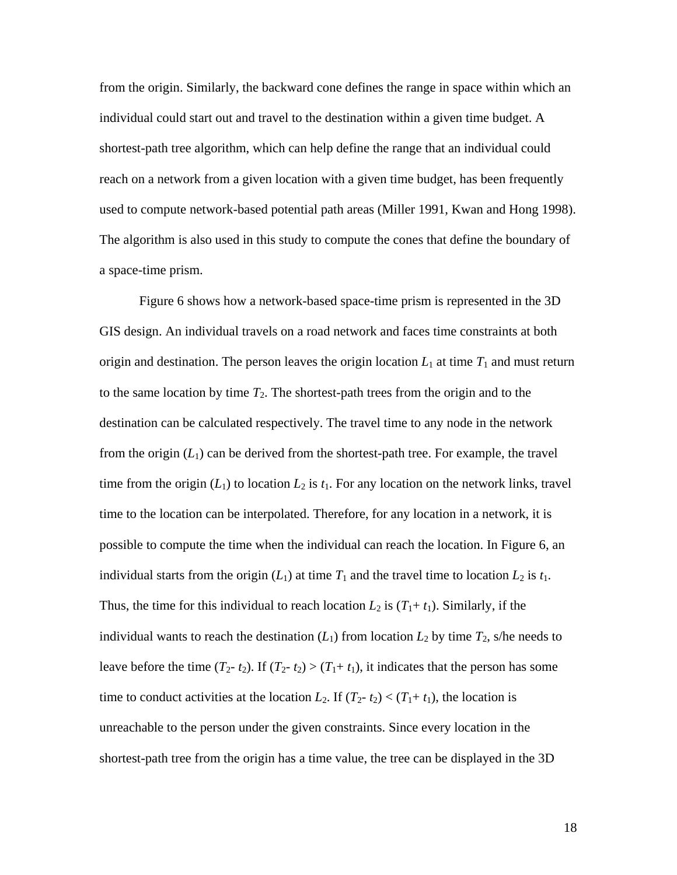from the origin. Similarly, the backward cone defines the range in space within which an individual could start out and travel to the destination within a given time budget. A shortest-path tree algorithm, which can help define the range that an individual could reach on a network from a given location with a given time budget, has been frequently used to compute network-based potential path areas (Miller 1991, Kwan and Hong 1998). The algorithm is also used in this study to compute the cones that define the boundary of a space-time prism.

Figure 6 shows how a network-based space-time prism is represented in the 3D GIS design. An individual travels on a road network and faces time constraints at both origin and destination. The person leaves the origin location  $L_1$  at time  $T_1$  and must return to the same location by time  $T_2$ . The shortest-path trees from the origin and to the destination can be calculated respectively. The travel time to any node in the network from the origin  $(L_1)$  can be derived from the shortest-path tree. For example, the travel time from the origin  $(L_1)$  to location  $L_2$  is  $t_1$ . For any location on the network links, travel time to the location can be interpolated. Therefore, for any location in a network, it is possible to compute the time when the individual can reach the location. In Figure 6, an individual starts from the origin  $(L_1)$  at time  $T_1$  and the travel time to location  $L_2$  is  $t_1$ . Thus, the time for this individual to reach location  $L_2$  is  $(T_1 + t_1)$ . Similarly, if the individual wants to reach the destination  $(L_1)$  from location  $L_2$  by time  $T_2$ , s/he needs to leave before the time  $(T_2 - t_2)$ . If  $(T_2 - t_2) > (T_1 + t_1)$ , it indicates that the person has some time to conduct activities at the location  $L_2$ . If  $(T_2-t_2) < (T_1+t_1)$ , the location is unreachable to the person under the given constraints. Since every location in the shortest-path tree from the origin has a time value, the tree can be displayed in the 3D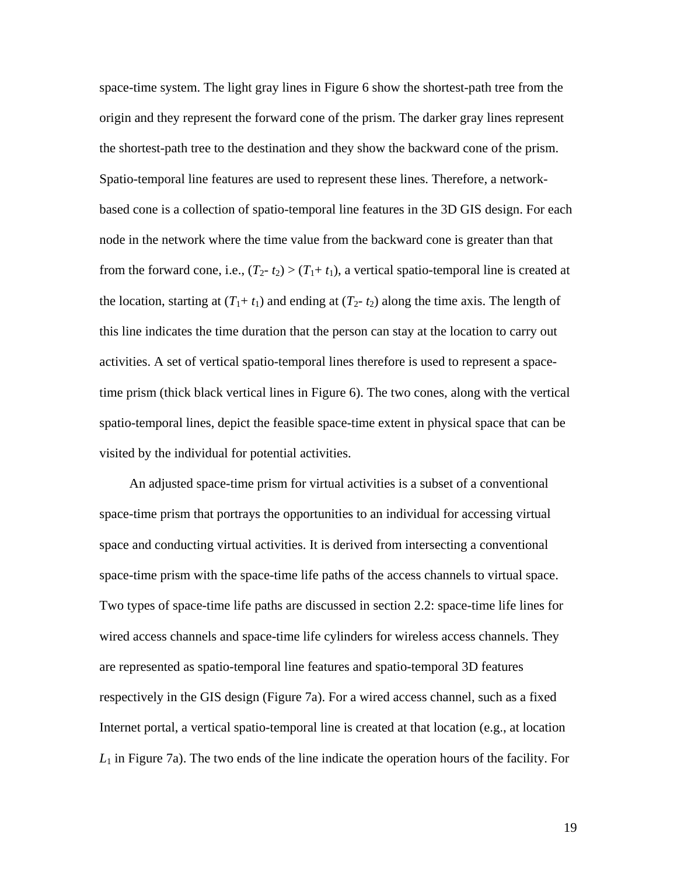space-time system. The light gray lines in Figure 6 show the shortest-path tree from the origin and they represent the forward cone of the prism. The darker gray lines represent the shortest-path tree to the destination and they show the backward cone of the prism. Spatio-temporal line features are used to represent these lines. Therefore, a networkbased cone is a collection of spatio-temporal line features in the 3D GIS design. For each node in the network where the time value from the backward cone is greater than that from the forward cone, i.e.,  $(T_2-t_2) > (T_1+t_1)$ , a vertical spatio-temporal line is created at the location, starting at  $(T_1 + t_1)$  and ending at  $(T_2 - t_2)$  along the time axis. The length of this line indicates the time duration that the person can stay at the location to carry out activities. A set of vertical spatio-temporal lines therefore is used to represent a spacetime prism (thick black vertical lines in Figure 6). The two cones, along with the vertical spatio-temporal lines, depict the feasible space-time extent in physical space that can be visited by the individual for potential activities.

An adjusted space-time prism for virtual activities is a subset of a conventional space-time prism that portrays the opportunities to an individual for accessing virtual space and conducting virtual activities. It is derived from intersecting a conventional space-time prism with the space-time life paths of the access channels to virtual space. Two types of space-time life paths are discussed in section 2.2: space-time life lines for wired access channels and space-time life cylinders for wireless access channels. They are represented as spatio-temporal line features and spatio-temporal 3D features respectively in the GIS design (Figure 7a). For a wired access channel, such as a fixed Internet portal, a vertical spatio-temporal line is created at that location (e.g., at location *L*1 in Figure 7a). The two ends of the line indicate the operation hours of the facility. For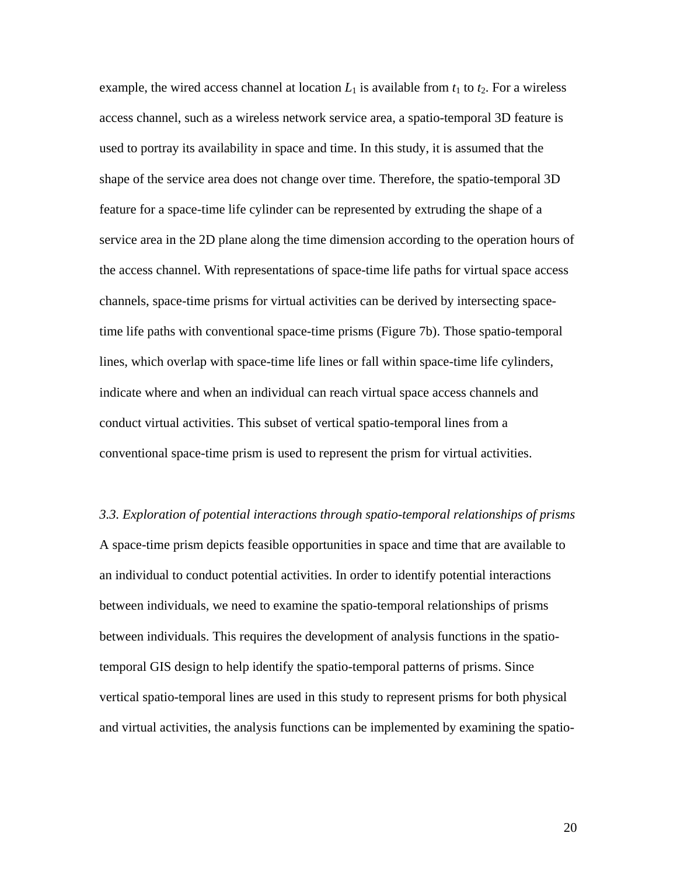example, the wired access channel at location  $L_1$  is available from  $t_1$  to  $t_2$ . For a wireless access channel, such as a wireless network service area, a spatio-temporal 3D feature is used to portray its availability in space and time. In this study, it is assumed that the shape of the service area does not change over time. Therefore, the spatio-temporal 3D feature for a space-time life cylinder can be represented by extruding the shape of a service area in the 2D plane along the time dimension according to the operation hours of the access channel. With representations of space-time life paths for virtual space access channels, space-time prisms for virtual activities can be derived by intersecting spacetime life paths with conventional space-time prisms (Figure 7b). Those spatio-temporal lines, which overlap with space-time life lines or fall within space-time life cylinders, indicate where and when an individual can reach virtual space access channels and conduct virtual activities. This subset of vertical spatio-temporal lines from a conventional space-time prism is used to represent the prism for virtual activities.

*3.3. Exploration of potential interactions through spatio-temporal relationships of prisms*  A space-time prism depicts feasible opportunities in space and time that are available to an individual to conduct potential activities. In order to identify potential interactions between individuals, we need to examine the spatio-temporal relationships of prisms between individuals. This requires the development of analysis functions in the spatiotemporal GIS design to help identify the spatio-temporal patterns of prisms. Since vertical spatio-temporal lines are used in this study to represent prisms for both physical and virtual activities, the analysis functions can be implemented by examining the spatio-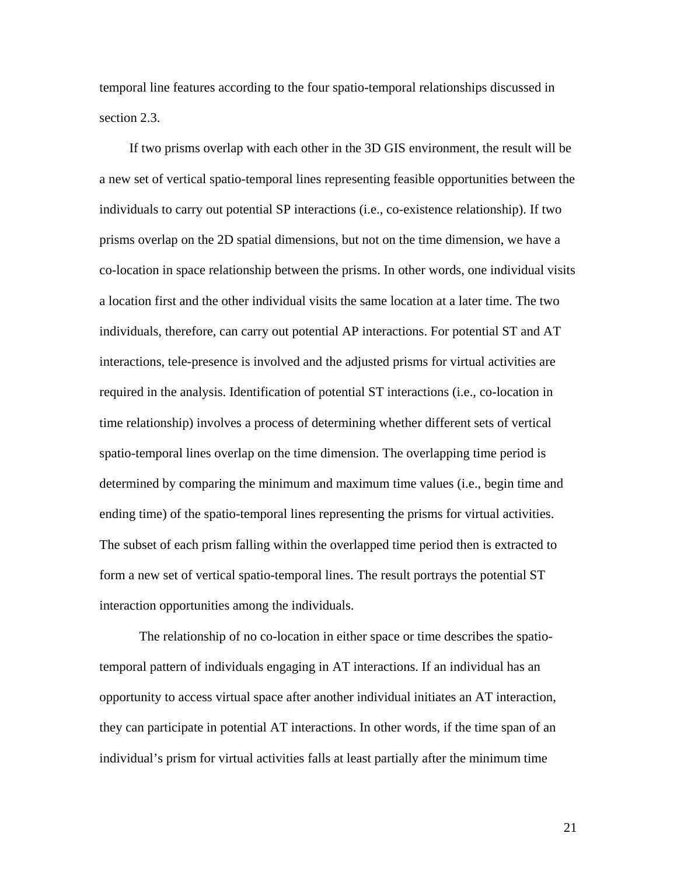temporal line features according to the four spatio-temporal relationships discussed in section 2.3.

If two prisms overlap with each other in the 3D GIS environment, the result will be a new set of vertical spatio-temporal lines representing feasible opportunities between the individuals to carry out potential SP interactions (i.e., co-existence relationship). If two prisms overlap on the 2D spatial dimensions, but not on the time dimension, we have a co-location in space relationship between the prisms. In other words, one individual visits a location first and the other individual visits the same location at a later time. The two individuals, therefore, can carry out potential AP interactions. For potential ST and AT interactions, tele-presence is involved and the adjusted prisms for virtual activities are required in the analysis. Identification of potential ST interactions (i.e., co-location in time relationship) involves a process of determining whether different sets of vertical spatio-temporal lines overlap on the time dimension. The overlapping time period is determined by comparing the minimum and maximum time values (i.e., begin time and ending time) of the spatio-temporal lines representing the prisms for virtual activities. The subset of each prism falling within the overlapped time period then is extracted to form a new set of vertical spatio-temporal lines. The result portrays the potential ST interaction opportunities among the individuals.

The relationship of no co-location in either space or time describes the spatiotemporal pattern of individuals engaging in AT interactions. If an individual has an opportunity to access virtual space after another individual initiates an AT interaction, they can participate in potential AT interactions. In other words, if the time span of an individual's prism for virtual activities falls at least partially after the minimum time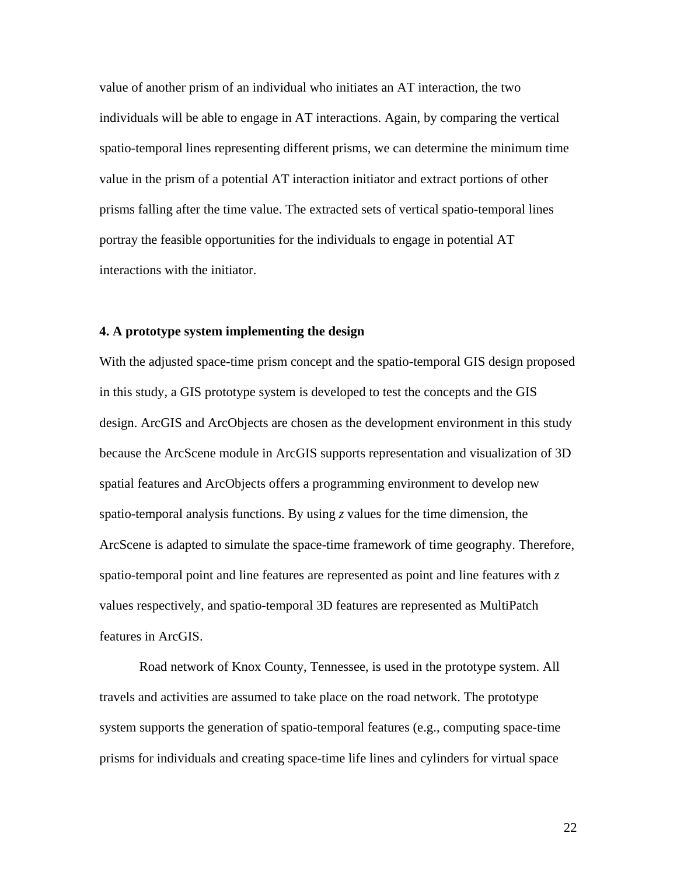value of another prism of an individual who initiates an AT interaction, the two individuals will be able to engage in AT interactions. Again, by comparing the vertical spatio-temporal lines representing different prisms, we can determine the minimum time value in the prism of a potential AT interaction initiator and extract portions of other prisms falling after the time value. The extracted sets of vertical spatio-temporal lines portray the feasible opportunities for the individuals to engage in potential AT interactions with the initiator.

### **4. A prototype system implementing the design**

With the adjusted space-time prism concept and the spatio-temporal GIS design proposed in this study, a GIS prototype system is developed to test the concepts and the GIS design. ArcGIS and ArcObjects are chosen as the development environment in this study because the ArcScene module in ArcGIS supports representation and visualization of 3D spatial features and ArcObjects offers a programming environment to develop new spatio-temporal analysis functions. By using *z* values for the time dimension, the ArcScene is adapted to simulate the space-time framework of time geography. Therefore, spatio-temporal point and line features are represented as point and line features with *z* values respectively, and spatio-temporal 3D features are represented as MultiPatch features in ArcGIS.

Road network of Knox County, Tennessee, is used in the prototype system. All travels and activities are assumed to take place on the road network. The prototype system supports the generation of spatio-temporal features (e.g., computing space-time prisms for individuals and creating space-time life lines and cylinders for virtual space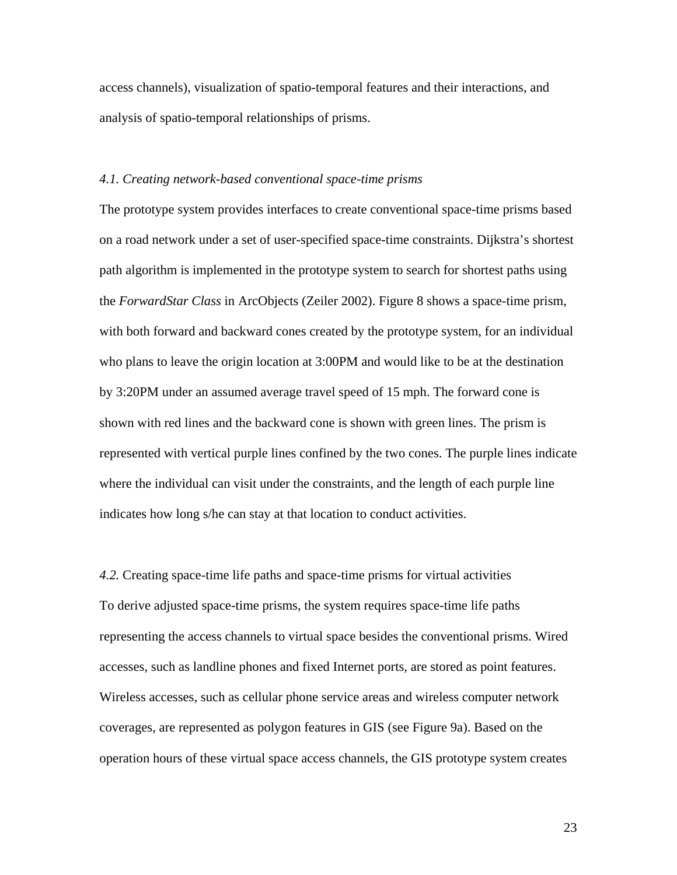access channels), visualization of spatio-temporal features and their interactions, and analysis of spatio-temporal relationships of prisms.

### *4.1. Creating network-based conventional space-time prisms*

The prototype system provides interfaces to create conventional space-time prisms based on a road network under a set of user-specified space-time constraints. Dijkstra's shortest path algorithm is implemented in the prototype system to search for shortest paths using the *ForwardStar Class* in ArcObjects (Zeiler 2002). Figure 8 shows a space-time prism, with both forward and backward cones created by the prototype system, for an individual who plans to leave the origin location at 3:00PM and would like to be at the destination by 3:20PM under an assumed average travel speed of 15 mph. The forward cone is shown with red lines and the backward cone is shown with green lines. The prism is represented with vertical purple lines confined by the two cones. The purple lines indicate where the individual can visit under the constraints, and the length of each purple line indicates how long s/he can stay at that location to conduct activities.

*4.2.* Creating space-time life paths and space-time prisms for virtual activities To derive adjusted space-time prisms, the system requires space-time life paths representing the access channels to virtual space besides the conventional prisms. Wired accesses, such as landline phones and fixed Internet ports, are stored as point features. Wireless accesses, such as cellular phone service areas and wireless computer network coverages, are represented as polygon features in GIS (see Figure 9a). Based on the operation hours of these virtual space access channels, the GIS prototype system creates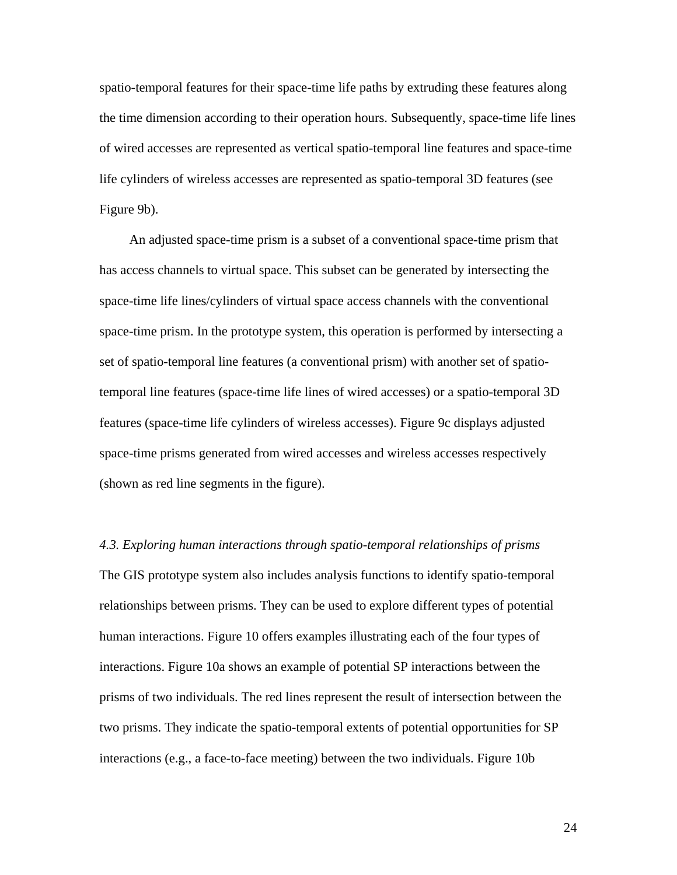spatio-temporal features for their space-time life paths by extruding these features along the time dimension according to their operation hours. Subsequently, space-time life lines of wired accesses are represented as vertical spatio-temporal line features and space-time life cylinders of wireless accesses are represented as spatio-temporal 3D features (see Figure 9b).

An adjusted space-time prism is a subset of a conventional space-time prism that has access channels to virtual space. This subset can be generated by intersecting the space-time life lines/cylinders of virtual space access channels with the conventional space-time prism. In the prototype system, this operation is performed by intersecting a set of spatio-temporal line features (a conventional prism) with another set of spatiotemporal line features (space-time life lines of wired accesses) or a spatio-temporal 3D features (space-time life cylinders of wireless accesses). Figure 9c displays adjusted space-time prisms generated from wired accesses and wireless accesses respectively (shown as red line segments in the figure).

*4.3. Exploring human interactions through spatio-temporal relationships of prisms*  The GIS prototype system also includes analysis functions to identify spatio-temporal relationships between prisms. They can be used to explore different types of potential human interactions. Figure 10 offers examples illustrating each of the four types of interactions. Figure 10a shows an example of potential SP interactions between the prisms of two individuals. The red lines represent the result of intersection between the two prisms. They indicate the spatio-temporal extents of potential opportunities for SP interactions (e.g., a face-to-face meeting) between the two individuals. Figure 10b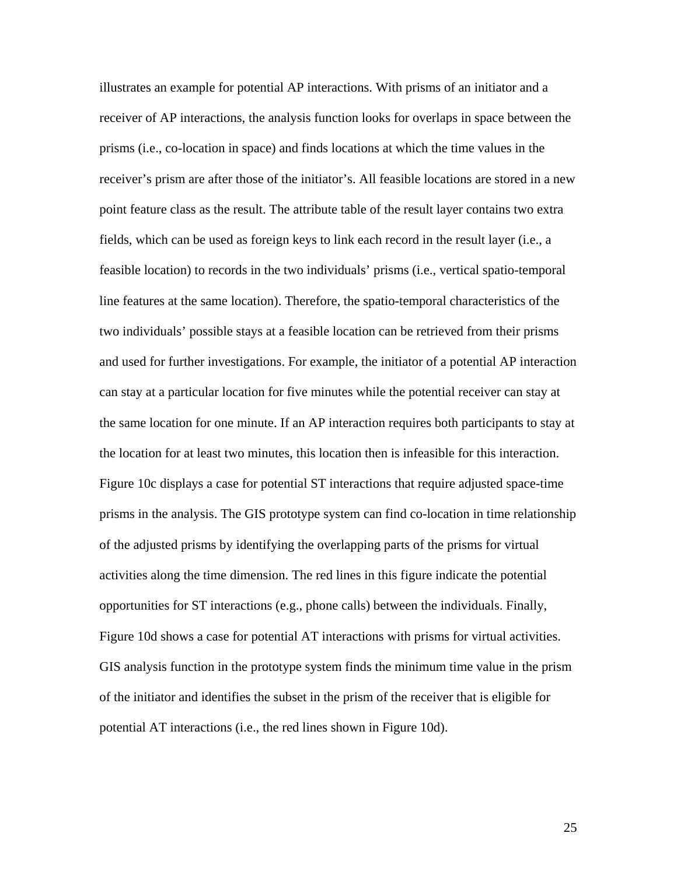illustrates an example for potential AP interactions. With prisms of an initiator and a receiver of AP interactions, the analysis function looks for overlaps in space between the prisms (i.e., co-location in space) and finds locations at which the time values in the receiver's prism are after those of the initiator's. All feasible locations are stored in a new point feature class as the result. The attribute table of the result layer contains two extra fields, which can be used as foreign keys to link each record in the result layer (i.e., a feasible location) to records in the two individuals' prisms (i.e., vertical spatio-temporal line features at the same location). Therefore, the spatio-temporal characteristics of the two individuals' possible stays at a feasible location can be retrieved from their prisms and used for further investigations. For example, the initiator of a potential AP interaction can stay at a particular location for five minutes while the potential receiver can stay at the same location for one minute. If an AP interaction requires both participants to stay at the location for at least two minutes, this location then is infeasible for this interaction. Figure 10c displays a case for potential ST interactions that require adjusted space-time prisms in the analysis. The GIS prototype system can find co-location in time relationship of the adjusted prisms by identifying the overlapping parts of the prisms for virtual activities along the time dimension. The red lines in this figure indicate the potential opportunities for ST interactions (e.g., phone calls) between the individuals. Finally, Figure 10d shows a case for potential AT interactions with prisms for virtual activities. GIS analysis function in the prototype system finds the minimum time value in the prism of the initiator and identifies the subset in the prism of the receiver that is eligible for potential AT interactions (i.e., the red lines shown in Figure 10d).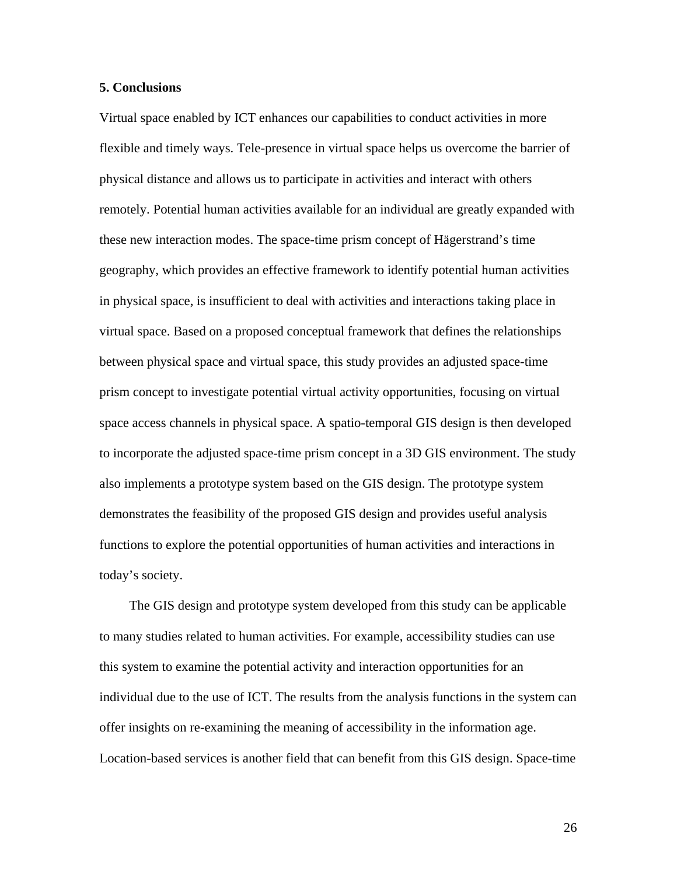### **5. Conclusions**

Virtual space enabled by ICT enhances our capabilities to conduct activities in more flexible and timely ways. Tele-presence in virtual space helps us overcome the barrier of physical distance and allows us to participate in activities and interact with others remotely. Potential human activities available for an individual are greatly expanded with these new interaction modes. The space-time prism concept of Hägerstrand's time geography, which provides an effective framework to identify potential human activities in physical space, is insufficient to deal with activities and interactions taking place in virtual space. Based on a proposed conceptual framework that defines the relationships between physical space and virtual space, this study provides an adjusted space-time prism concept to investigate potential virtual activity opportunities, focusing on virtual space access channels in physical space. A spatio-temporal GIS design is then developed to incorporate the adjusted space-time prism concept in a 3D GIS environment. The study also implements a prototype system based on the GIS design. The prototype system demonstrates the feasibility of the proposed GIS design and provides useful analysis functions to explore the potential opportunities of human activities and interactions in today's society.

The GIS design and prototype system developed from this study can be applicable to many studies related to human activities. For example, accessibility studies can use this system to examine the potential activity and interaction opportunities for an individual due to the use of ICT. The results from the analysis functions in the system can offer insights on re-examining the meaning of accessibility in the information age. Location-based services is another field that can benefit from this GIS design. Space-time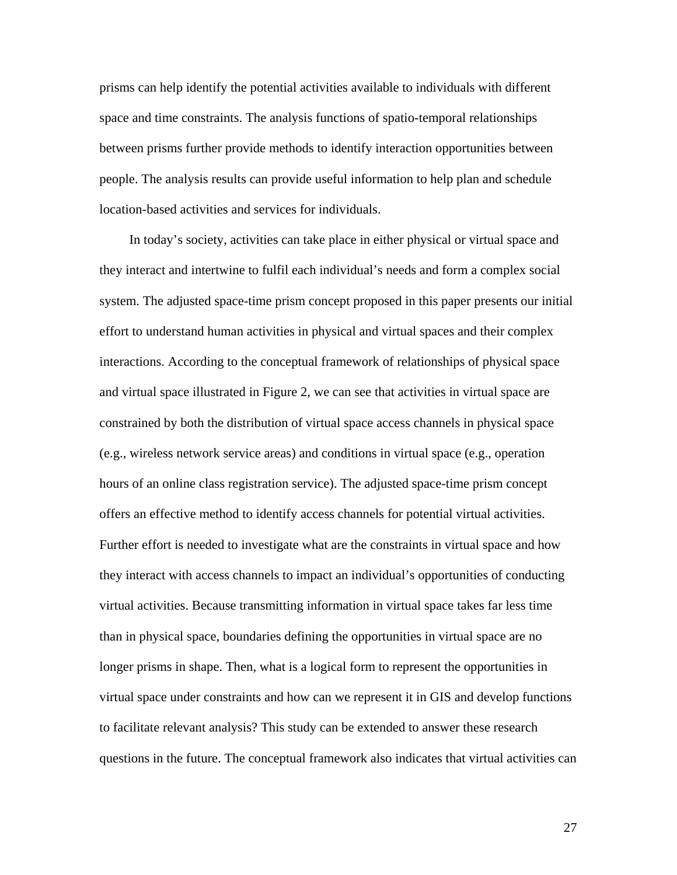prisms can help identify the potential activities available to individuals with different space and time constraints. The analysis functions of spatio-temporal relationships between prisms further provide methods to identify interaction opportunities between people. The analysis results can provide useful information to help plan and schedule location-based activities and services for individuals.

In today's society, activities can take place in either physical or virtual space and they interact and intertwine to fulfil each individual's needs and form a complex social system. The adjusted space-time prism concept proposed in this paper presents our initial effort to understand human activities in physical and virtual spaces and their complex interactions. According to the conceptual framework of relationships of physical space and virtual space illustrated in Figure 2, we can see that activities in virtual space are constrained by both the distribution of virtual space access channels in physical space (e.g., wireless network service areas) and conditions in virtual space (e.g., operation hours of an online class registration service). The adjusted space-time prism concept offers an effective method to identify access channels for potential virtual activities. Further effort is needed to investigate what are the constraints in virtual space and how they interact with access channels to impact an individual's opportunities of conducting virtual activities. Because transmitting information in virtual space takes far less time than in physical space, boundaries defining the opportunities in virtual space are no longer prisms in shape. Then, what is a logical form to represent the opportunities in virtual space under constraints and how can we represent it in GIS and develop functions to facilitate relevant analysis? This study can be extended to answer these research questions in the future. The conceptual framework also indicates that virtual activities can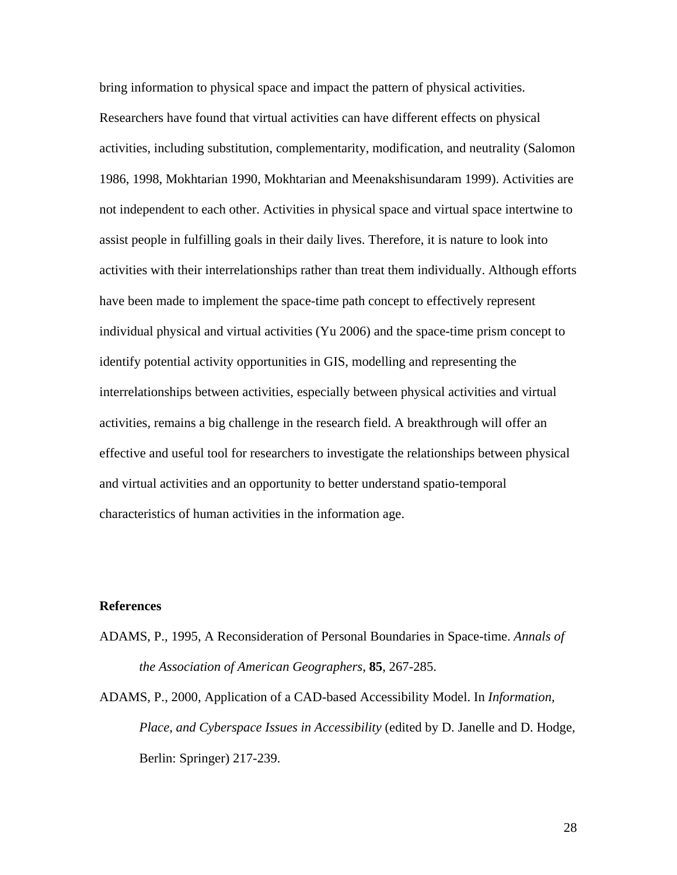bring information to physical space and impact the pattern of physical activities. Researchers have found that virtual activities can have different effects on physical activities, including substitution, complementarity, modification, and neutrality (Salomon 1986, 1998, Mokhtarian 1990, Mokhtarian and Meenakshisundaram 1999). Activities are not independent to each other. Activities in physical space and virtual space intertwine to assist people in fulfilling goals in their daily lives. Therefore, it is nature to look into activities with their interrelationships rather than treat them individually. Although efforts have been made to implement the space-time path concept to effectively represent individual physical and virtual activities (Yu 2006) and the space-time prism concept to identify potential activity opportunities in GIS, modelling and representing the interrelationships between activities, especially between physical activities and virtual activities, remains a big challenge in the research field. A breakthrough will offer an effective and useful tool for researchers to investigate the relationships between physical and virtual activities and an opportunity to better understand spatio-temporal characteristics of human activities in the information age.

### **References**

- ADAMS, P., 1995, A Reconsideration of Personal Boundaries in Space-time. *Annals of the Association of American Geographers*, **85**, 267-285.
- ADAMS, P., 2000, Application of a CAD-based Accessibility Model. In *Information, Place, and Cyberspace Issues in Accessibility* (edited by D. Janelle and D. Hodge, Berlin: Springer) 217-239.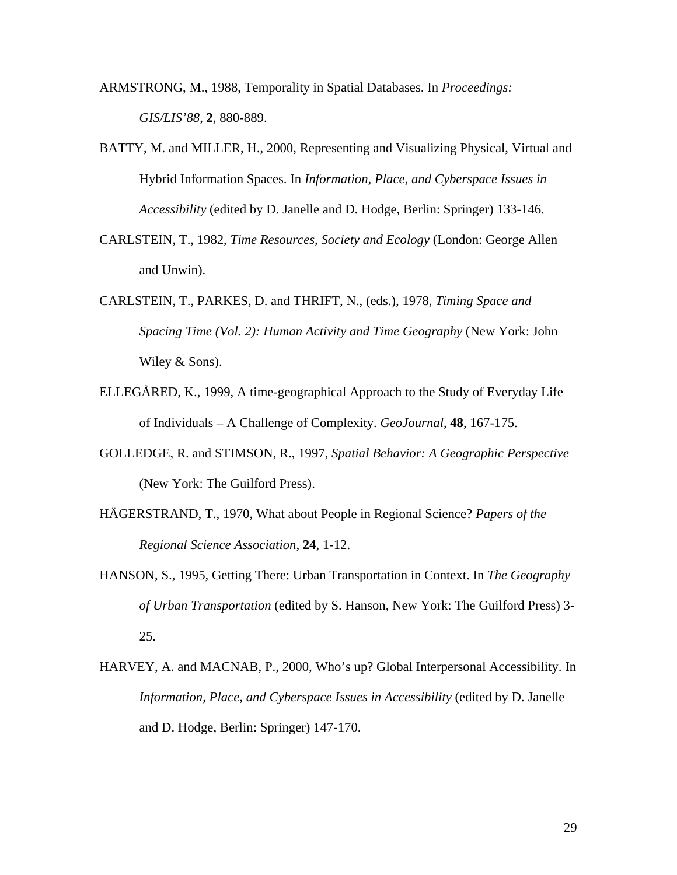ARMSTRONG, M., 1988, Temporality in Spatial Databases. In *Proceedings: GIS/LIS'88*, **2**, 880-889.

- BATTY, M. and MILLER, H., 2000, Representing and Visualizing Physical, Virtual and Hybrid Information Spaces. In *Information, Place, and Cyberspace Issues in Accessibility* (edited by D. Janelle and D. Hodge, Berlin: Springer) 133-146.
- CARLSTEIN, T., 1982, *Time Resources, Society and Ecology* (London: George Allen and Unwin).
- CARLSTEIN, T., PARKES, D. and THRIFT, N., (eds.), 1978, *Timing Space and Spacing Time (Vol. 2): Human Activity and Time Geography* (New York: John Wiley & Sons).
- ELLEGÅRED, K., 1999, A time-geographical Approach to the Study of Everyday Life of Individuals – A Challenge of Complexity. *GeoJournal*, **48**, 167-175.
- GOLLEDGE, R. and STIMSON, R., 1997, *Spatial Behavior: A Geographic Perspective* (New York: The Guilford Press).
- HÄGERSTRAND, T., 1970, What about People in Regional Science? *Papers of the Regional Science Association*, **24**, 1-12.
- HANSON, S., 1995, Getting There: Urban Transportation in Context. In *The Geography of Urban Transportation* (edited by S. Hanson, New York: The Guilford Press) 3- 25.
- HARVEY, A. and MACNAB, P., 2000, Who's up? Global Interpersonal Accessibility. In *Information, Place, and Cyberspace Issues in Accessibility* (edited by D. Janelle and D. Hodge, Berlin: Springer) 147-170.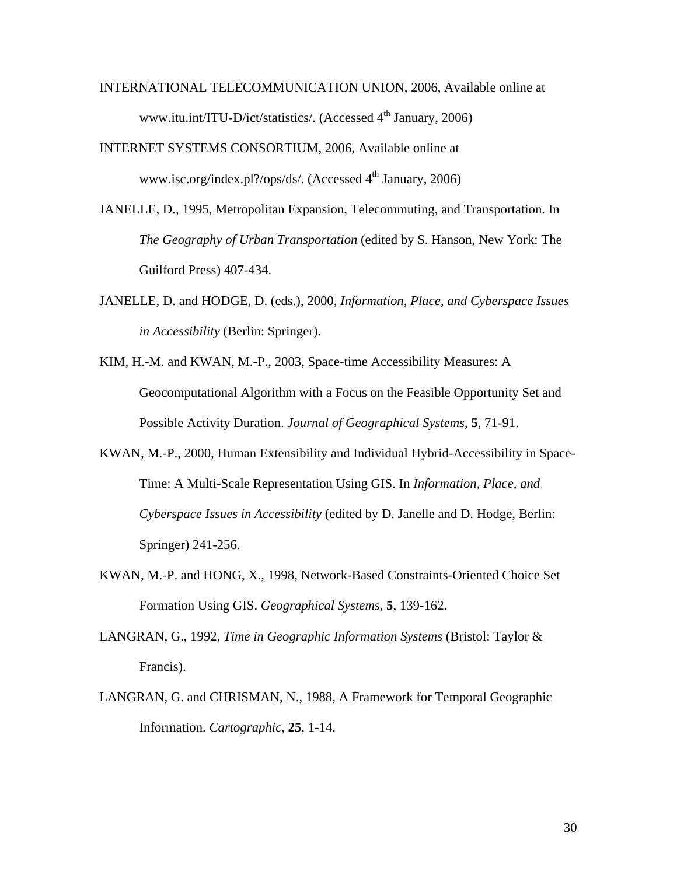- INTERNATIONAL TELECOMMUNICATION UNION, 2006, Available online at www.itu.int/ITU-D/ict/statistics/. (Accessed 4<sup>th</sup> January, 2006)
- INTERNET SYSTEMS CONSORTIUM, 2006, Available online at www.isc.org/index.pl?/ops/ds/. (Accessed  $4<sup>th</sup>$  January, 2006)
- JANELLE, D., 1995, Metropolitan Expansion, Telecommuting, and Transportation. In *The Geography of Urban Transportation* (edited by S. Hanson, New York: The Guilford Press) 407-434.
- JANELLE, D. and HODGE, D. (eds.), 2000, *Information, Place, and Cyberspace Issues in Accessibility* (Berlin: Springer).
- KIM, H.-M. and KWAN, M.-P., 2003, Space-time Accessibility Measures: A Geocomputational Algorithm with a Focus on the Feasible Opportunity Set and Possible Activity Duration. *Journal of Geographical Systems*, **5**, 71-91.
- KWAN, M.-P., 2000, Human Extensibility and Individual Hybrid-Accessibility in Space-Time: A Multi-Scale Representation Using GIS. In *Information, Place, and Cyberspace Issues in Accessibility* (edited by D. Janelle and D. Hodge, Berlin: Springer) 241-256.
- KWAN, M.-P. and HONG, X., 1998, Network-Based Constraints-Oriented Choice Set Formation Using GIS. *Geographical Systems*, **5**, 139-162.
- LANGRAN, G., 1992, *Time in Geographic Information Systems* (Bristol: Taylor & Francis).
- LANGRAN, G. and CHRISMAN, N., 1988, A Framework for Temporal Geographic Information. *Cartographic*, **25**, 1-14.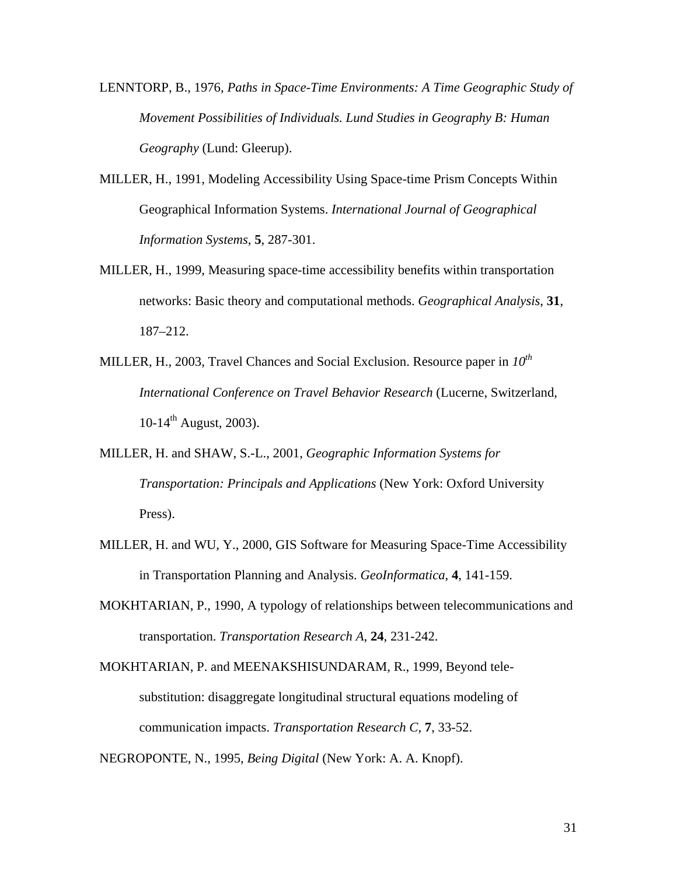- LENNTORP, B., 1976, *Paths in Space-Time Environments: A Time Geographic Study of Movement Possibilities of Individuals. Lund Studies in Geography B: Human Geography* (Lund: Gleerup).
- MILLER, H., 1991, Modeling Accessibility Using Space-time Prism Concepts Within Geographical Information Systems. *International Journal of Geographical Information Systems*, **5**, 287-301.
- MILLER, H., 1999, Measuring space-time accessibility benefits within transportation networks: Basic theory and computational methods. *Geographical Analysis*, **31**, 187–212.
- MILLER, H., 2003, Travel Chances and Social Exclusion. Resource paper in  $10^{th}$ *International Conference on Travel Behavior Research* (Lucerne, Switzerland, 10-14<sup>th</sup> August, 2003).
- MILLER, H. and SHAW, S.-L., 2001, *Geographic Information Systems for Transportation: Principals and Applications* (New York: Oxford University Press).
- MILLER, H. and WU, Y., 2000, GIS Software for Measuring Space-Time Accessibility in Transportation Planning and Analysis. *GeoInformatica*, **4**, 141-159.
- MOKHTARIAN, P., 1990, A typology of relationships between telecommunications and transportation. *Transportation Research A*, **24**, 231-242.
- MOKHTARIAN, P. and MEENAKSHISUNDARAM, R., 1999, Beyond telesubstitution: disaggregate longitudinal structural equations modeling of communication impacts. *Transportation Research C*, **7**, 33-52.

NEGROPONTE, N., 1995, *Being Digital* (New York: A. A. Knopf).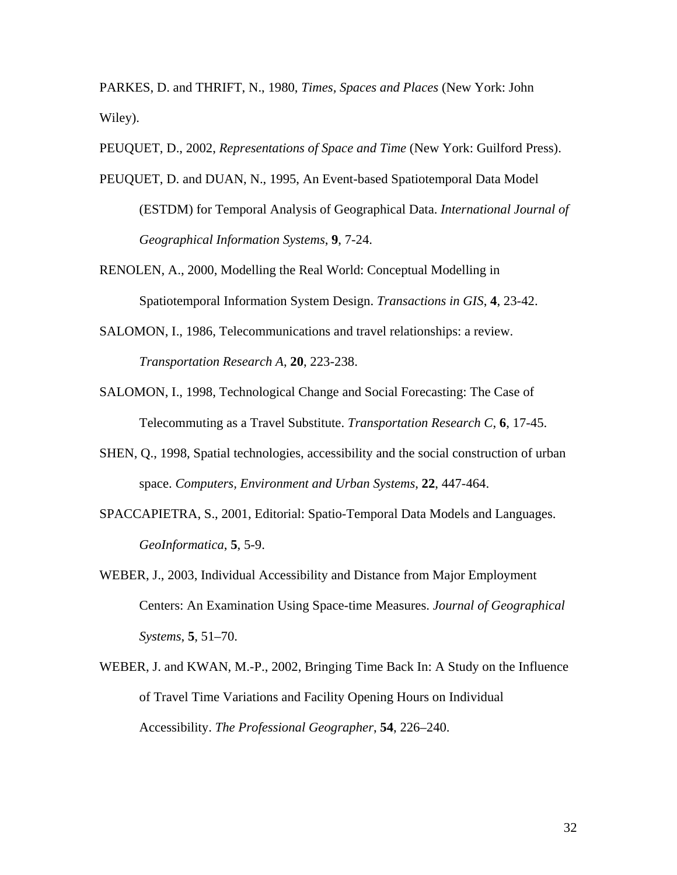PARKES, D. and THRIFT, N., 1980, *Times, Spaces and Places* (New York: John Wiley).

PEUQUET, D., 2002, *Representations of Space and Time* (New York: Guilford Press).

- PEUQUET, D. and DUAN, N., 1995, An Event-based Spatiotemporal Data Model (ESTDM) for Temporal Analysis of Geographical Data. *International Journal of Geographical Information Systems*, **9**, 7-24.
- RENOLEN, A., 2000, Modelling the Real World: Conceptual Modelling in Spatiotemporal Information System Design. *Transactions in GIS*, **4**, 23-42.
- SALOMON, I., 1986, Telecommunications and travel relationships: a review. *Transportation Research A*, **20**, 223-238.
- SALOMON, I., 1998, Technological Change and Social Forecasting: The Case of Telecommuting as a Travel Substitute. *Transportation Research C*, **6**, 17-45.
- SHEN, Q., 1998, Spatial technologies, accessibility and the social construction of urban space. *Computers, Environment and Urban Systems*, **22**, 447-464.
- SPACCAPIETRA, S., 2001, Editorial: Spatio-Temporal Data Models and Languages. *GeoInformatica*, **5**, 5-9.
- WEBER, J., 2003, Individual Accessibility and Distance from Major Employment Centers: An Examination Using Space-time Measures. *Journal of Geographical Systems*, **5**, 51–70.
- WEBER, J. and KWAN, M.-P., 2002, Bringing Time Back In: A Study on the Influence of Travel Time Variations and Facility Opening Hours on Individual Accessibility. *The Professional Geographer*, **54**, 226–240.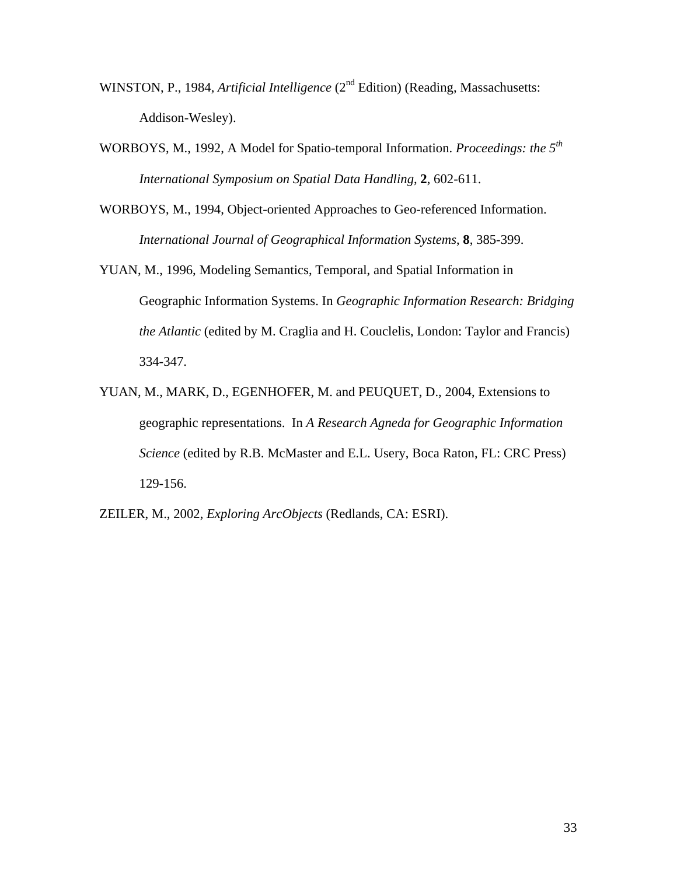- WINSTON, P., 1984, *Artificial Intelligence* (2<sup>nd</sup> Edition) (Reading, Massachusetts: Addison-Wesley).
- WORBOYS, M., 1992, A Model for Spatio-temporal Information. *Proceedings: the 5th International Symposium on Spatial Data Handling*, **2**, 602-611.
- WORBOYS, M., 1994, Object-oriented Approaches to Geo-referenced Information. *International Journal of Geographical Information Systems*, **8**, 385-399.
- YUAN, M., 1996, Modeling Semantics, Temporal, and Spatial Information in Geographic Information Systems. In *Geographic Information Research: Bridging the Atlantic* (edited by M. Craglia and H. Couclelis, London: Taylor and Francis) 334-347.
- YUAN, M., MARK, D., EGENHOFER, M. and PEUQUET, D., 2004, Extensions to geographic representations. In *A Research Agneda for Geographic Information Science* (edited by R.B. McMaster and E.L. Usery, Boca Raton, FL: CRC Press) 129-156.
- ZEILER, M., 2002, *Exploring ArcObjects* (Redlands, CA: ESRI).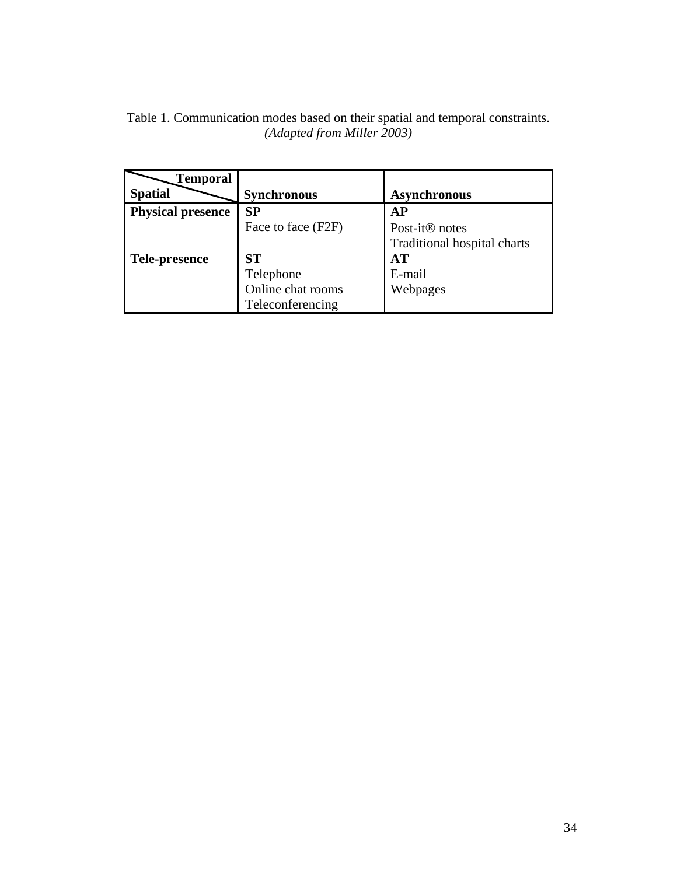| Table 1. Communication modes based on their spatial and temporal constraints. |                            |  |  |  |
|-------------------------------------------------------------------------------|----------------------------|--|--|--|
|                                                                               | (Adapted from Miller 2003) |  |  |  |

| Temporal                 |                    |                             |
|--------------------------|--------------------|-----------------------------|
| <b>Spatial</b>           | <b>Synchronous</b> | <b>Asynchronous</b>         |
| <b>Physical presence</b> | SP                 | AP                          |
|                          | Face to face (F2F) | Post-it <sup>®</sup> notes  |
|                          |                    | Traditional hospital charts |
| Tele-presence            | <b>ST</b>          | AT                          |
|                          | Telephone          | E-mail                      |
|                          | Online chat rooms  | Webpages                    |
|                          | Teleconferencing   |                             |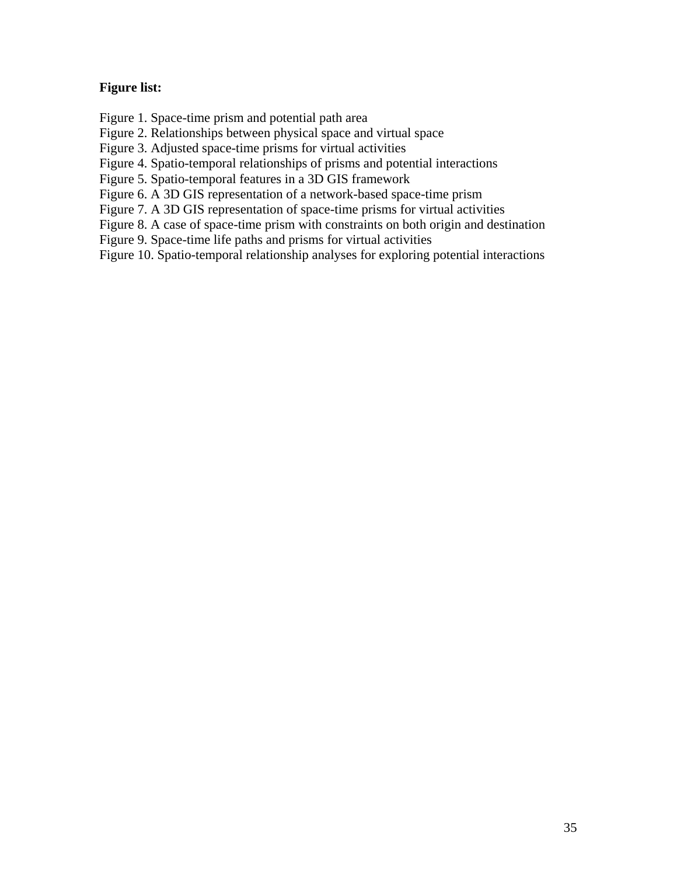### **Figure list:**

Figure 1. Space-time prism and potential path area

Figure 2. Relationships between physical space and virtual space

Figure 3. Adjusted space-time prisms for virtual activities

Figure 4. Spatio-temporal relationships of prisms and potential interactions

Figure 5. Spatio-temporal features in a 3D GIS framework

Figure 6. A 3D GIS representation of a network-based space-time prism

Figure 7. A 3D GIS representation of space-time prisms for virtual activities

Figure 8. A case of space-time prism with constraints on both origin and destination

Figure 9. Space-time life paths and prisms for virtual activities

Figure 10. Spatio-temporal relationship analyses for exploring potential interactions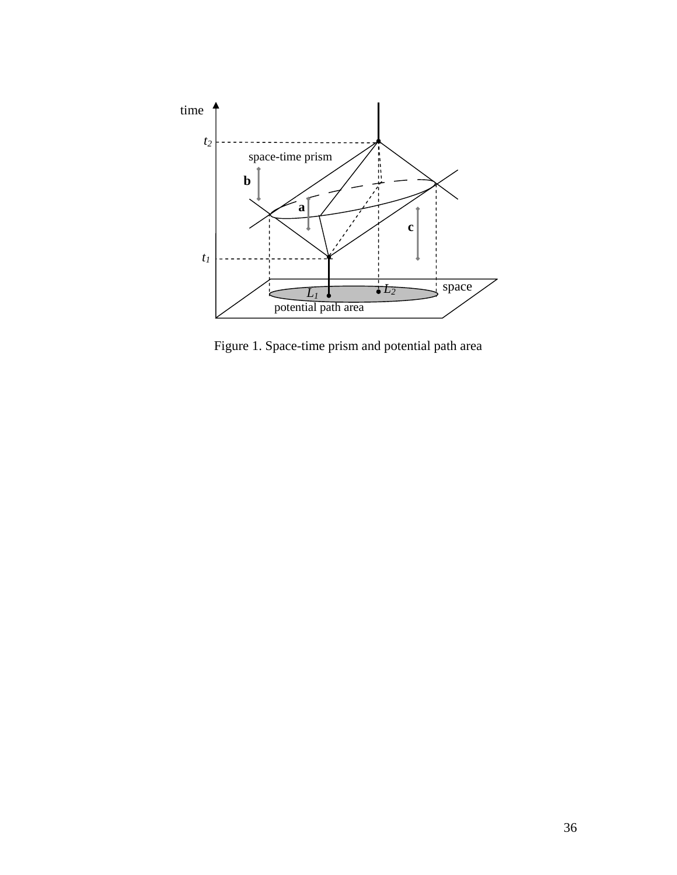

Figure 1. Space-time prism and potential path area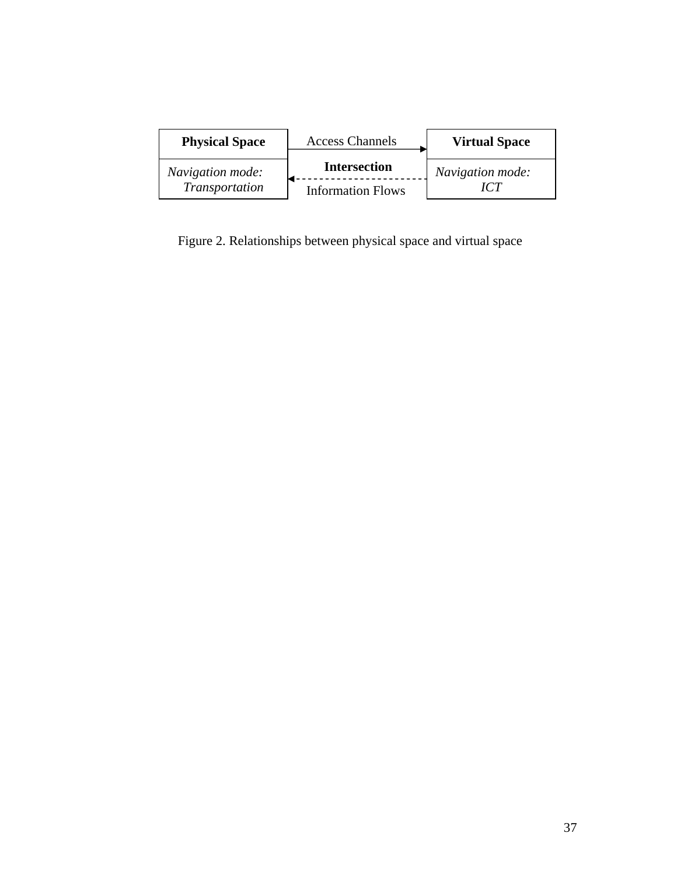| <b>Physical Space</b> | <b>Access Channels</b>   | <b>Virtual Space</b> |  |  |
|-----------------------|--------------------------|----------------------|--|--|
| Navigation mode:      | <b>Intersection</b>      | Navigation mode:     |  |  |
| Transportation        | <b>Information Flows</b> |                      |  |  |

Figure 2. Relationships between physical space and virtual space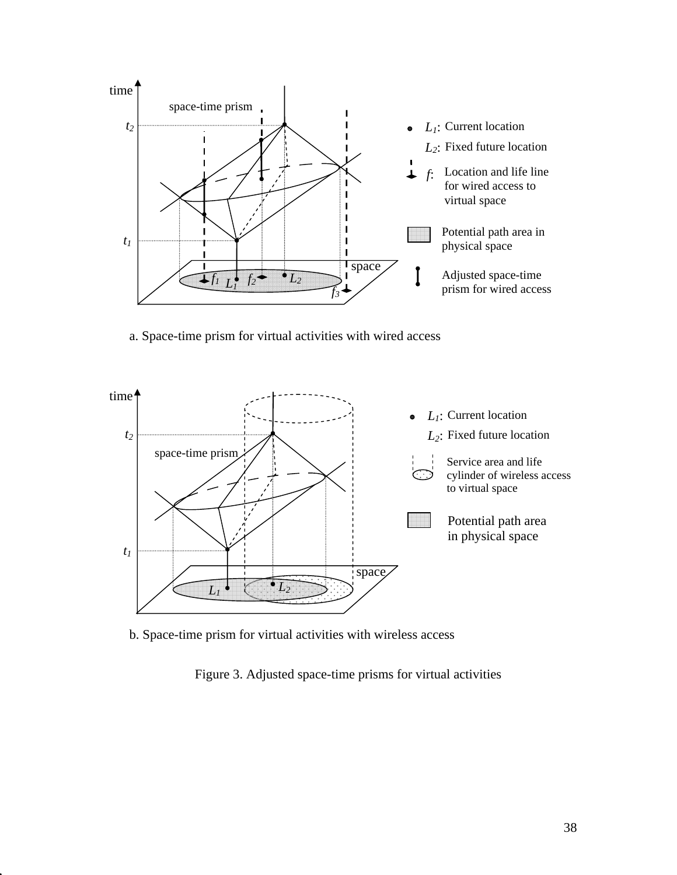

a. Space-time prism for virtual activities with wired access



b. Space-time prism for virtual activities with wireless access

Figure 3. Adjusted space-time prisms for virtual activities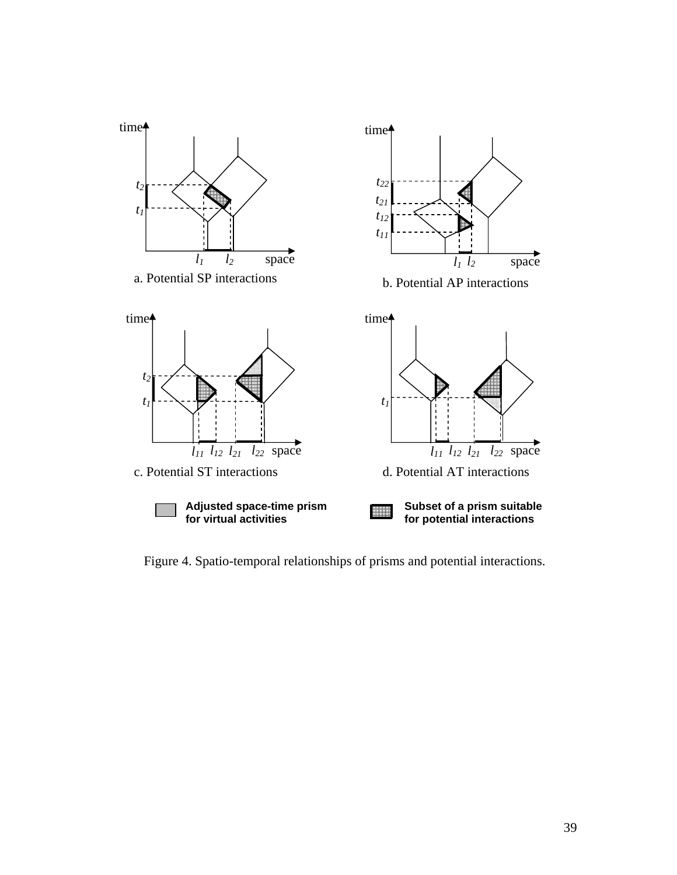

Figure 4. Spatio-temporal relationships of prisms and potential interactions.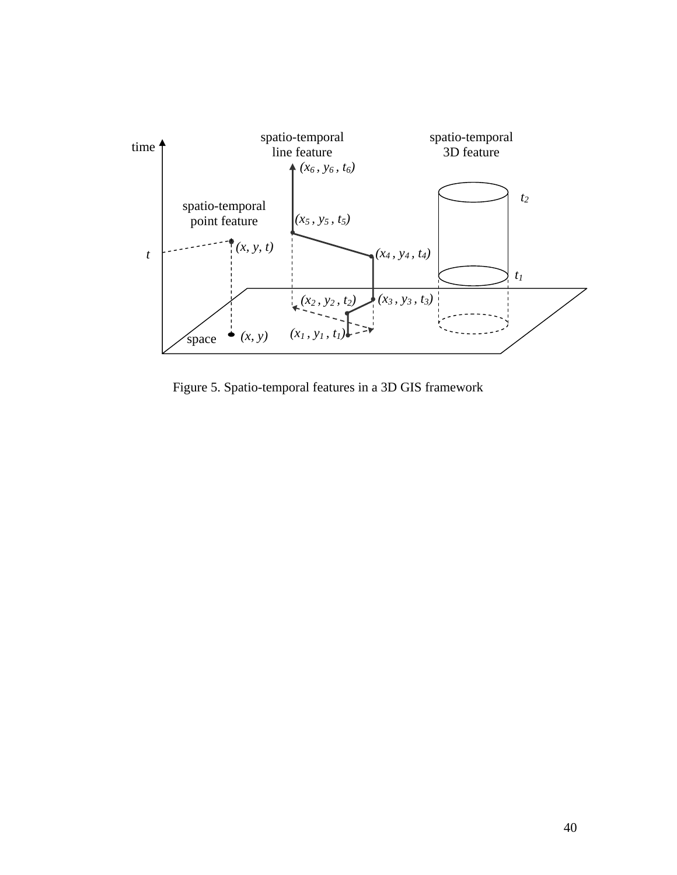

Figure 5. Spatio-temporal features in a 3D GIS framework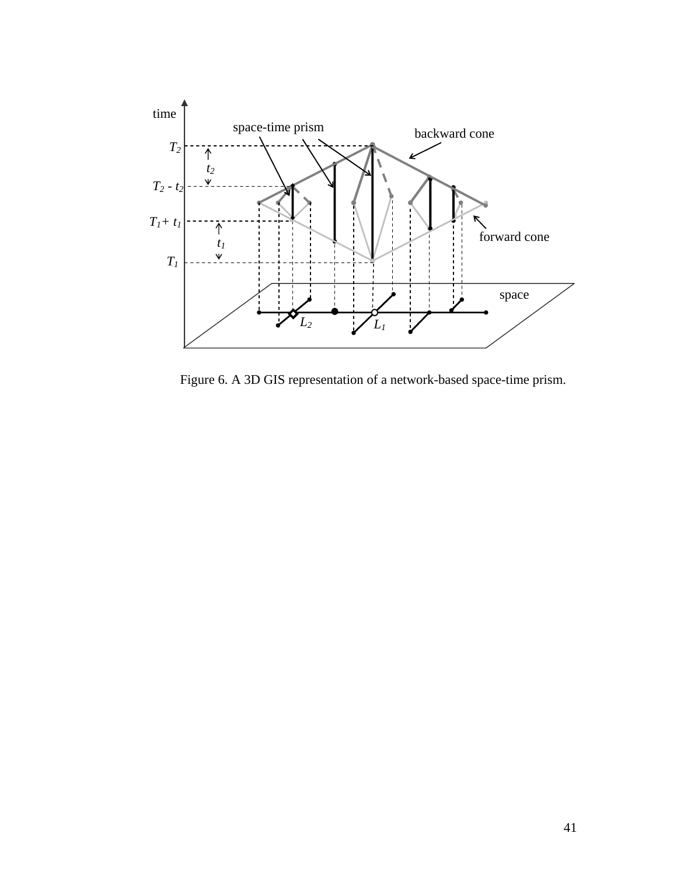

Figure 6. A 3D GIS representation of a network-based space-time prism.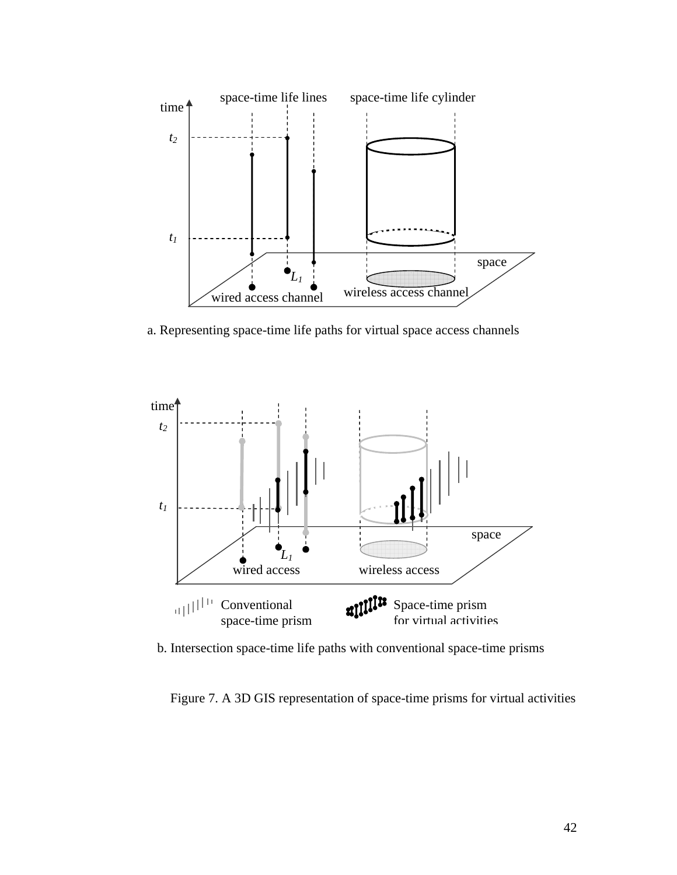

a. Representing space-time life paths for virtual space access channels



b. Intersection space-time life paths with conventional space-time prisms

Figure 7. A 3D GIS representation of space-time prisms for virtual activities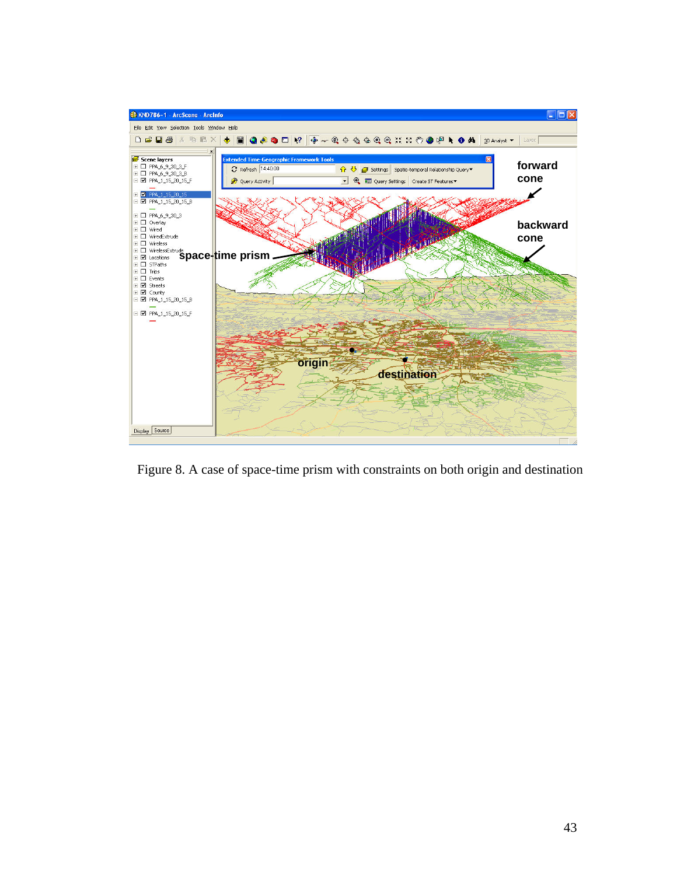

Figure 8. A case of space-time prism with constraints on both origin and destination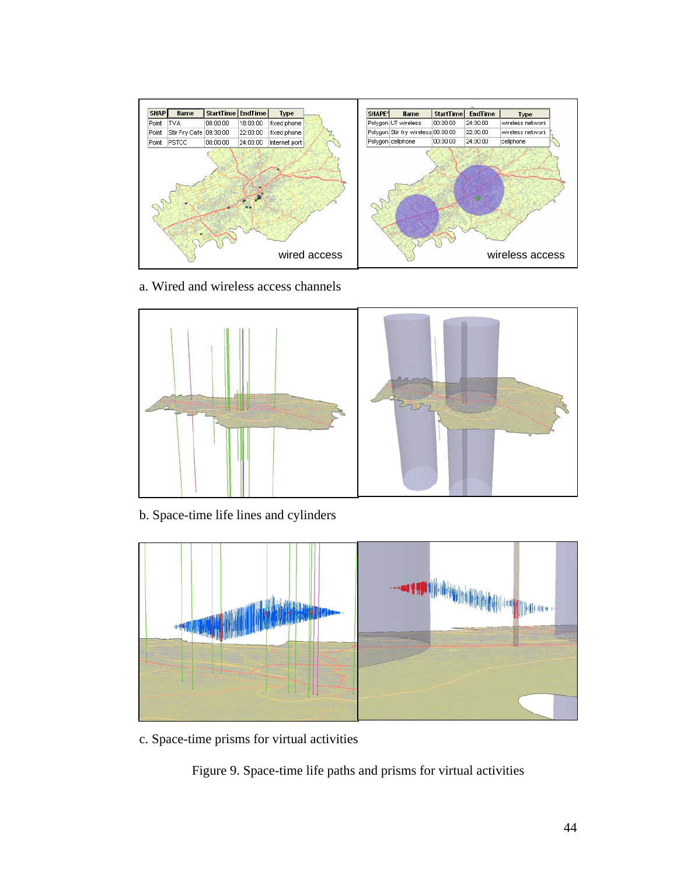

a. Wired and wireless access channels



b. Space-time life lines and cylinders



c. Space-time prisms for virtual activities

Figure 9. Space-time life paths and prisms for virtual activities